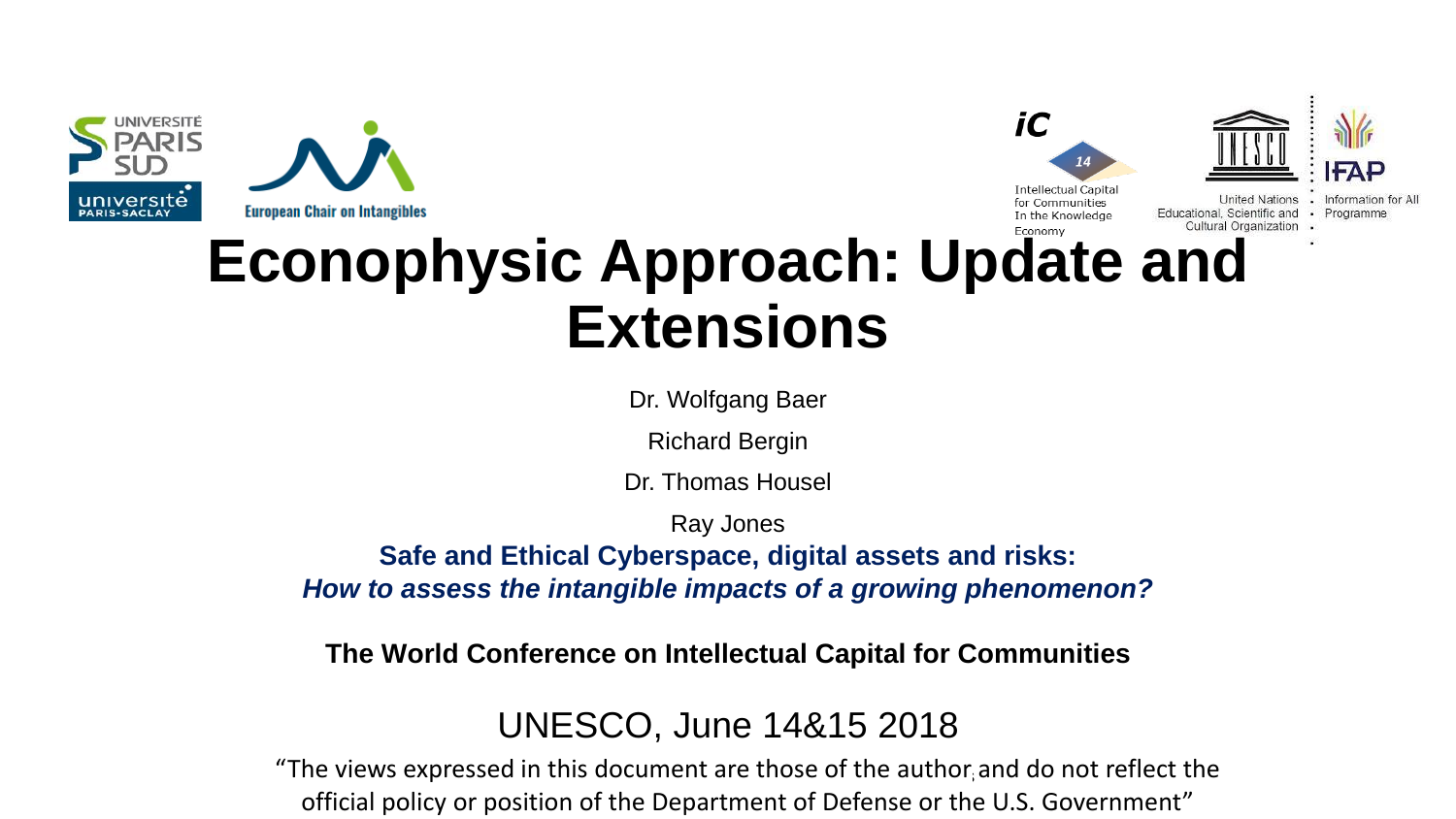





**United Nations** Educational, Scientific and · Programm

# **Econophysic Approach: Update and Extensions**

Dr. Wolfgang Baer

Richard Bergin

Dr. Thomas Housel

Ray Jones

**Safe and Ethical Cyberspace, digital assets and risks:**  *How to assess the intangible impacts of a growing phenomenon?*

**The World Conference on Intellectual Capital for Communities**

### UNESCO, June 14&15 2018

"The views expressed in this document are those of the author and do not reflect the official policy or position of the Department of Defense or the U.S. Government"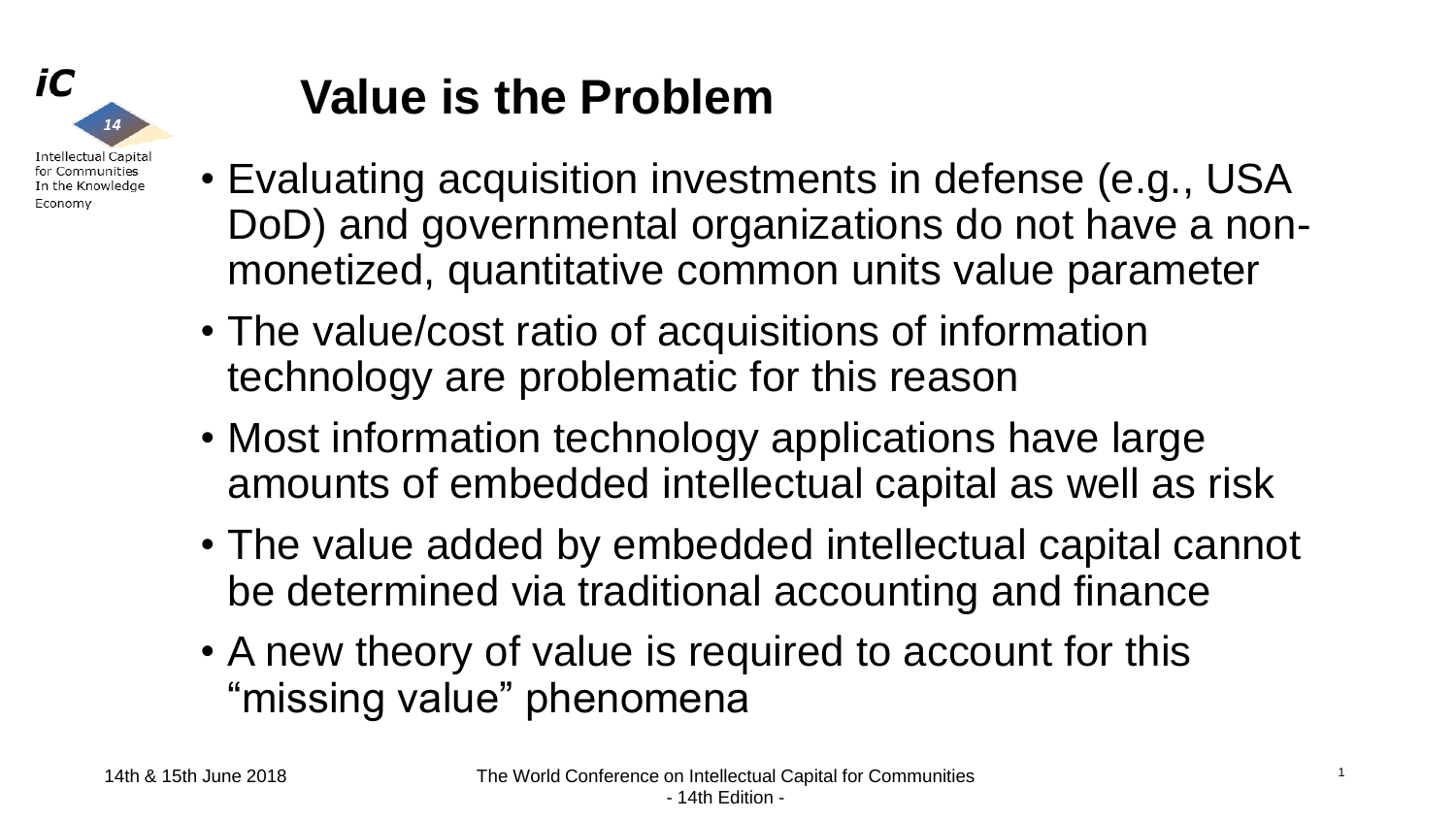

# **Value is the Problem**

- Evaluating acquisition investments in defense (e.g., USA DoD) and governmental organizations do not have a nonmonetized, quantitative common units value parameter
- The value/cost ratio of acquisitions of information technology are problematic for this reason
- Most information technology applications have large amounts of embedded intellectual capital as well as risk
- The value added by embedded intellectual capital cannot be determined via traditional accounting and finance
- A new theory of value is required to account for this "missing value" phenomena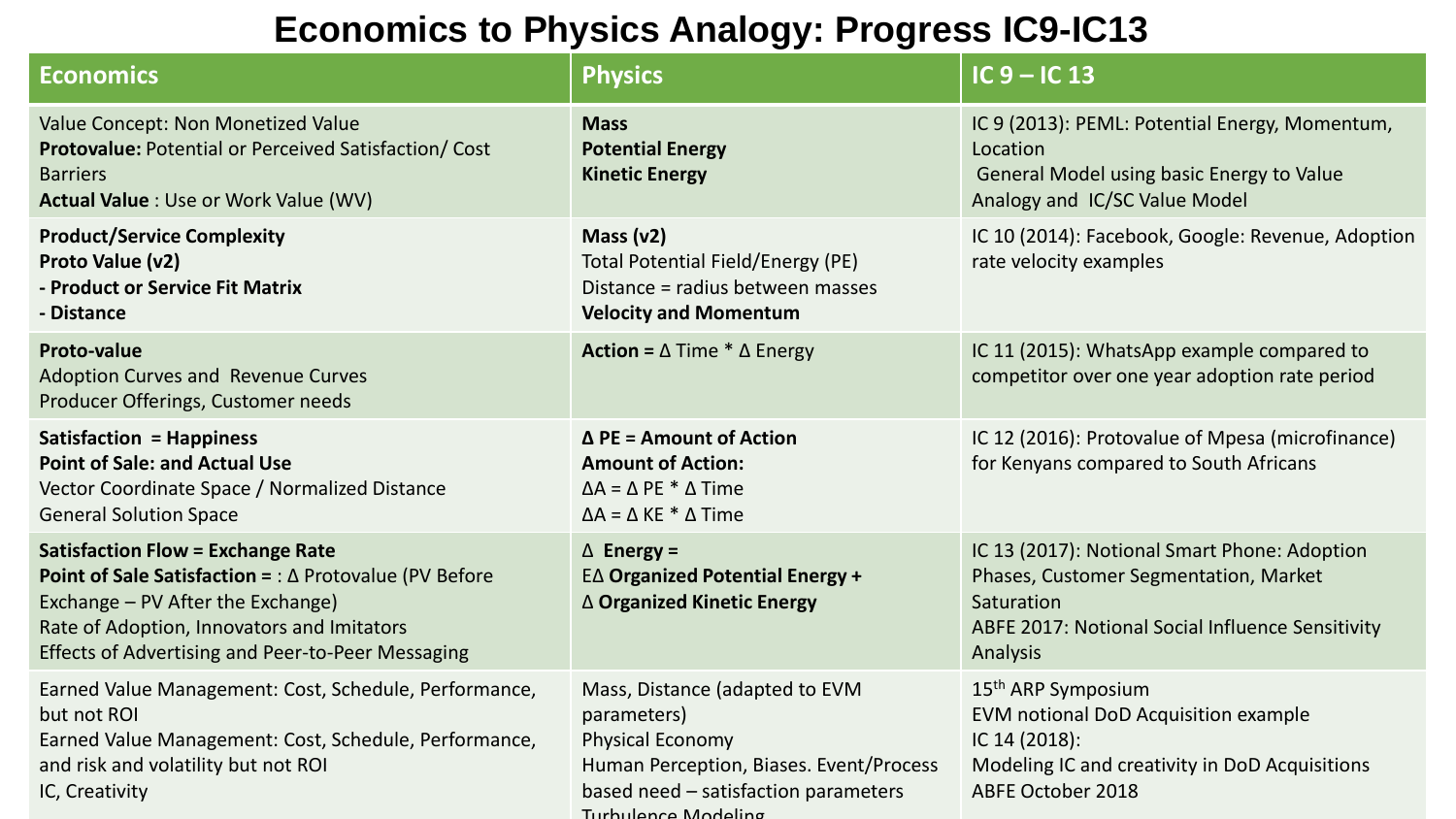### **Economics to Physics Analogy: Progress IC9-IC13**

| <b>Economics</b>                                                                                                                                                                                                                                                    | <b>Physics</b>                                                                                                                                                                     | $IC9 - IC13$                                                                                                                                                          |
|---------------------------------------------------------------------------------------------------------------------------------------------------------------------------------------------------------------------------------------------------------------------|------------------------------------------------------------------------------------------------------------------------------------------------------------------------------------|-----------------------------------------------------------------------------------------------------------------------------------------------------------------------|
| Value Concept: Non Monetized Value<br>Protovalue: Potential or Perceived Satisfaction/ Cost<br><b>Barriers</b><br><b>Actual Value: Use or Work Value (WV)</b>                                                                                                       | <b>Mass</b><br><b>Potential Energy</b><br><b>Kinetic Energy</b>                                                                                                                    | IC 9 (2013): PEML: Potential Energy, Momentum,<br>Location<br>General Model using basic Energy to Value<br>Analogy and IC/SC Value Model                              |
| <b>Product/Service Complexity</b><br>Proto Value (v2)<br>- Product or Service Fit Matrix<br>- Distance                                                                                                                                                              | Mass $(v2)$<br><b>Total Potential Field/Energy (PE)</b><br>Distance = radius between masses<br><b>Velocity and Momentum</b>                                                        | IC 10 (2014): Facebook, Google: Revenue, Adoption<br>rate velocity examples                                                                                           |
| <b>Proto-value</b><br><b>Adoption Curves and Revenue Curves</b><br>Producer Offerings, Customer needs                                                                                                                                                               | <b>Action = <math>\triangle</math> Time * <math>\triangle</math> Energy</b>                                                                                                        | IC 11 (2015): WhatsApp example compared to<br>competitor over one year adoption rate period                                                                           |
| <b>Satisfaction = Happiness</b><br><b>Point of Sale: and Actual Use</b><br>Vector Coordinate Space / Normalized Distance<br><b>General Solution Space</b>                                                                                                           | $\Delta$ PE = Amount of Action<br><b>Amount of Action:</b><br>$\Delta A = \Delta PE * \Delta Time$<br>$\Delta A = \Delta KE * \Delta Time$                                         | IC 12 (2016): Protovalue of Mpesa (microfinance)<br>for Kenyans compared to South Africans                                                                            |
| <b>Satisfaction Flow = Exchange Rate</b><br><b>Point of Sale Satisfaction = : <math>\Delta</math> Protovalue (PV Before</b><br>Exchange – PV After the Exchange)<br>Rate of Adoption, Innovators and Imitators<br>Effects of Advertising and Peer-to-Peer Messaging | $\triangle$ Energy =<br><b>E∆ Organized Potential Energy +</b><br>△ Organized Kinetic Energy                                                                                       | IC 13 (2017): Notional Smart Phone: Adoption<br>Phases, Customer Segmentation, Market<br>Saturation<br>ABFE 2017: Notional Social Influence Sensitivity<br>Analysis   |
| Earned Value Management: Cost, Schedule, Performance,<br>but not ROI<br>Earned Value Management: Cost, Schedule, Performance,<br>and risk and volatility but not ROI<br>IC, Creativity                                                                              | Mass, Distance (adapted to EVM<br>parameters)<br><b>Physical Economy</b><br>Human Perception, Biases. Event/Process<br>based need - satisfaction parameters<br>Turbulence Modeling | 15 <sup>th</sup> ARP Symposium<br>EVM notional DoD Acquisition example<br>IC 14 (2018):<br>Modeling IC and creativity in DoD Acquisitions<br><b>ABFE October 2018</b> |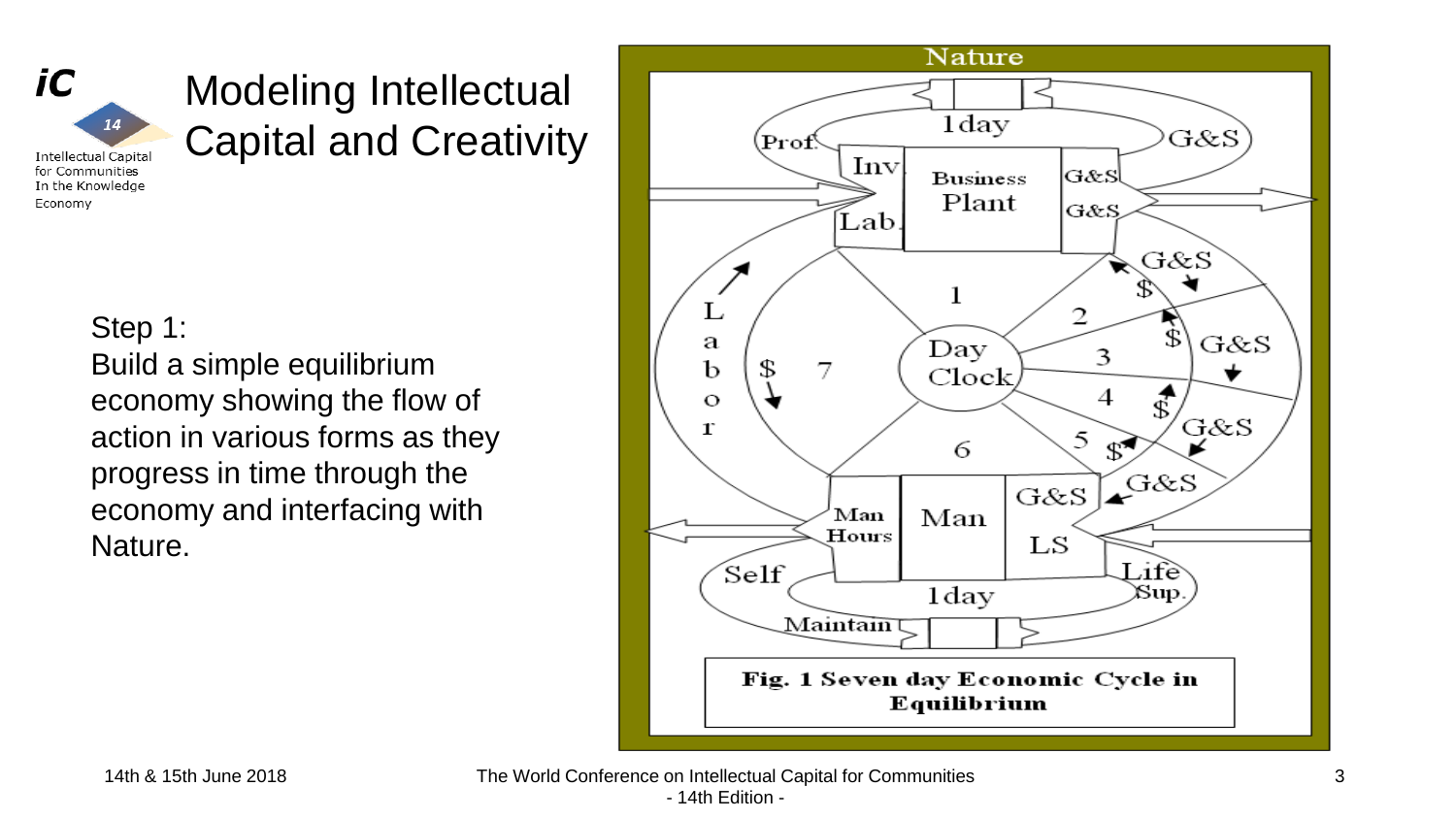

### Modeling Intellectual Capital and Creativity

**Intellectual Capital** for Communities In the Knowledge Economy

14

### Step 1:

Build a simple equilibrium economy showing the flow of action in various forms as they progress in time through the economy and interfacing with Nature.

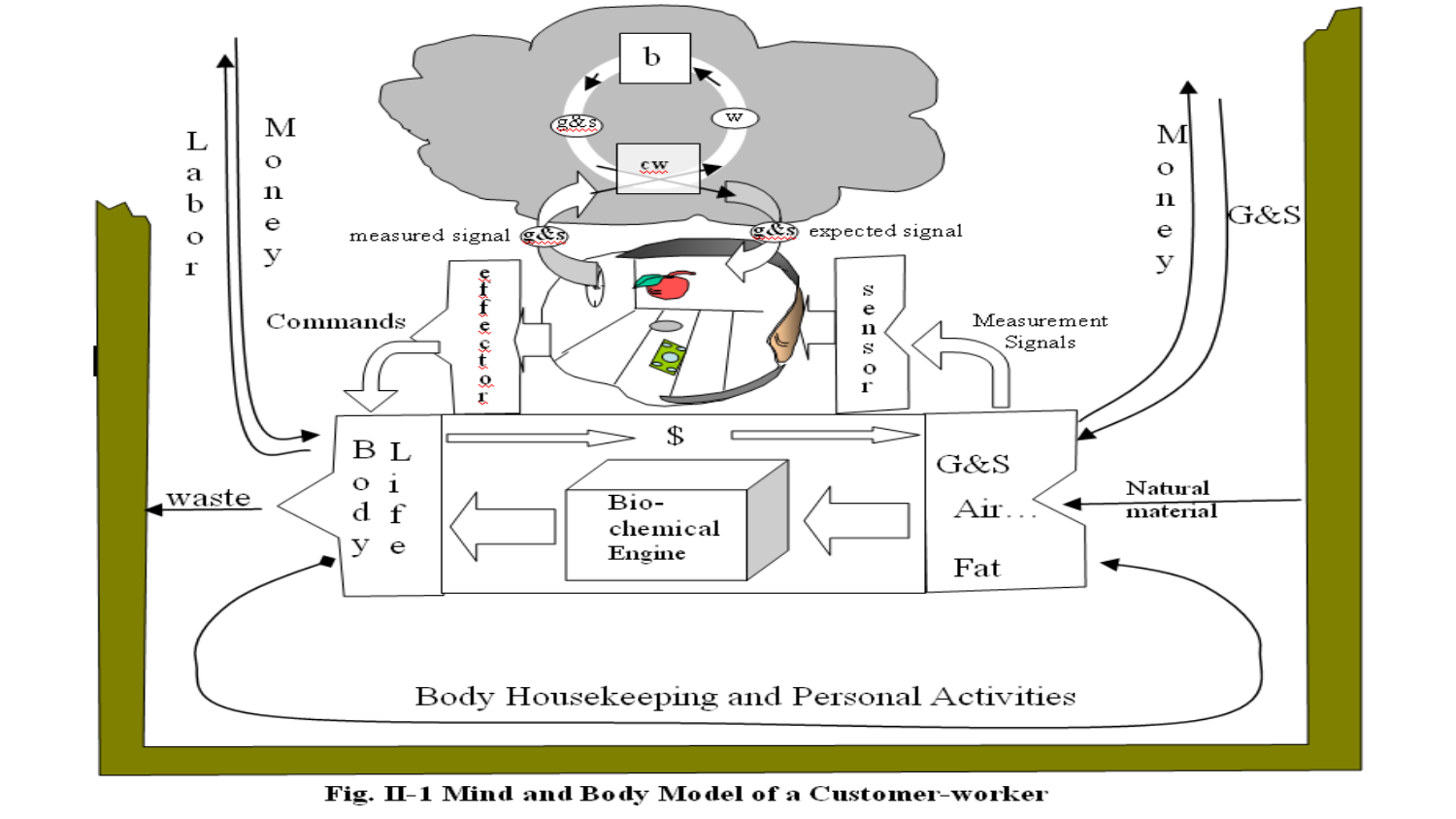

Model of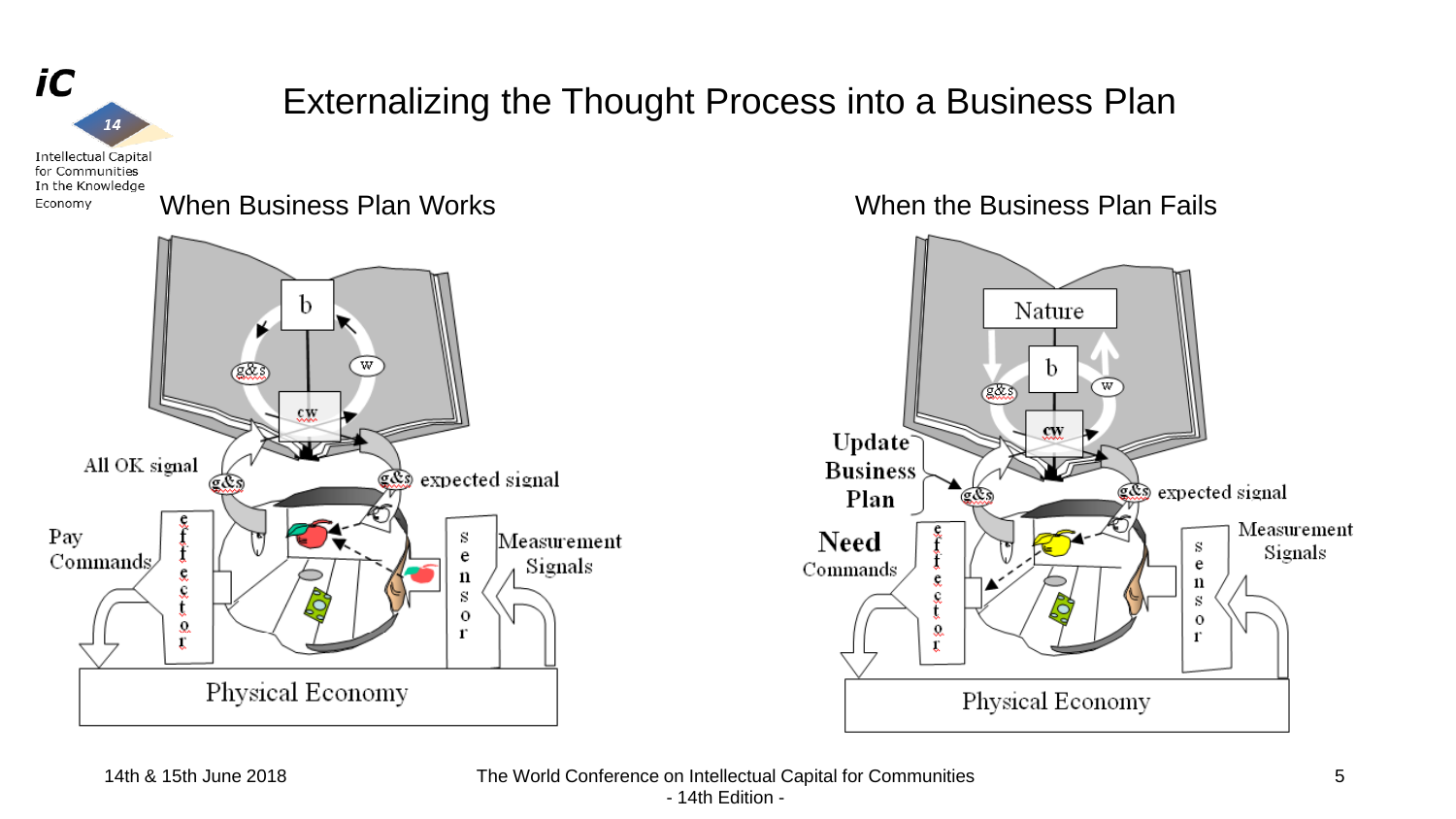

14th & 15th June 2018 The World Conference on Intellectual Capital for Communities - 14th Edition -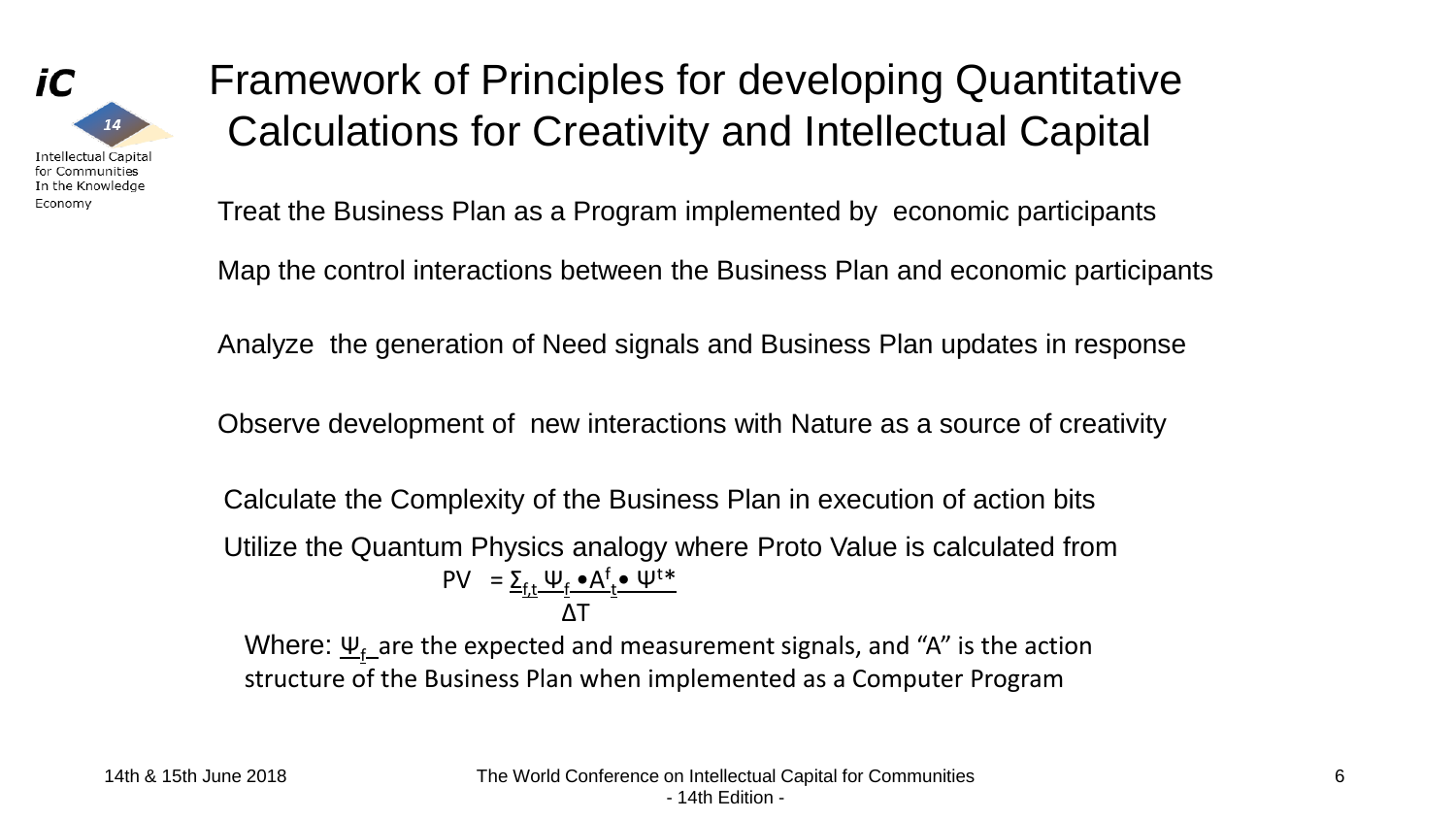

### Framework of Principles for developing Quantitative Calculations for Creativity and Intellectual Capital

Treat the Business Plan as a Program implemented by economic participants

Map the control interactions between the Business Plan and economic participants

Analyze the generation of Need signals and Business Plan updates in response

Observe development of new interactions with Nature as a source of creativity

Calculate the Complexity of the Business Plan in execution of action bits

Utilize the Quantum Physics analogy where Proto Value is calculated from  $PV = \sum_{f,t} \psi_f \cdot A_f^f \cdot \psi^{t*}$ ΔT

Where:  $\underline{\Psi_{f}}$  are the expected and measurement signals, and "A" is the action structure of the Business Plan when implemented as a Computer Program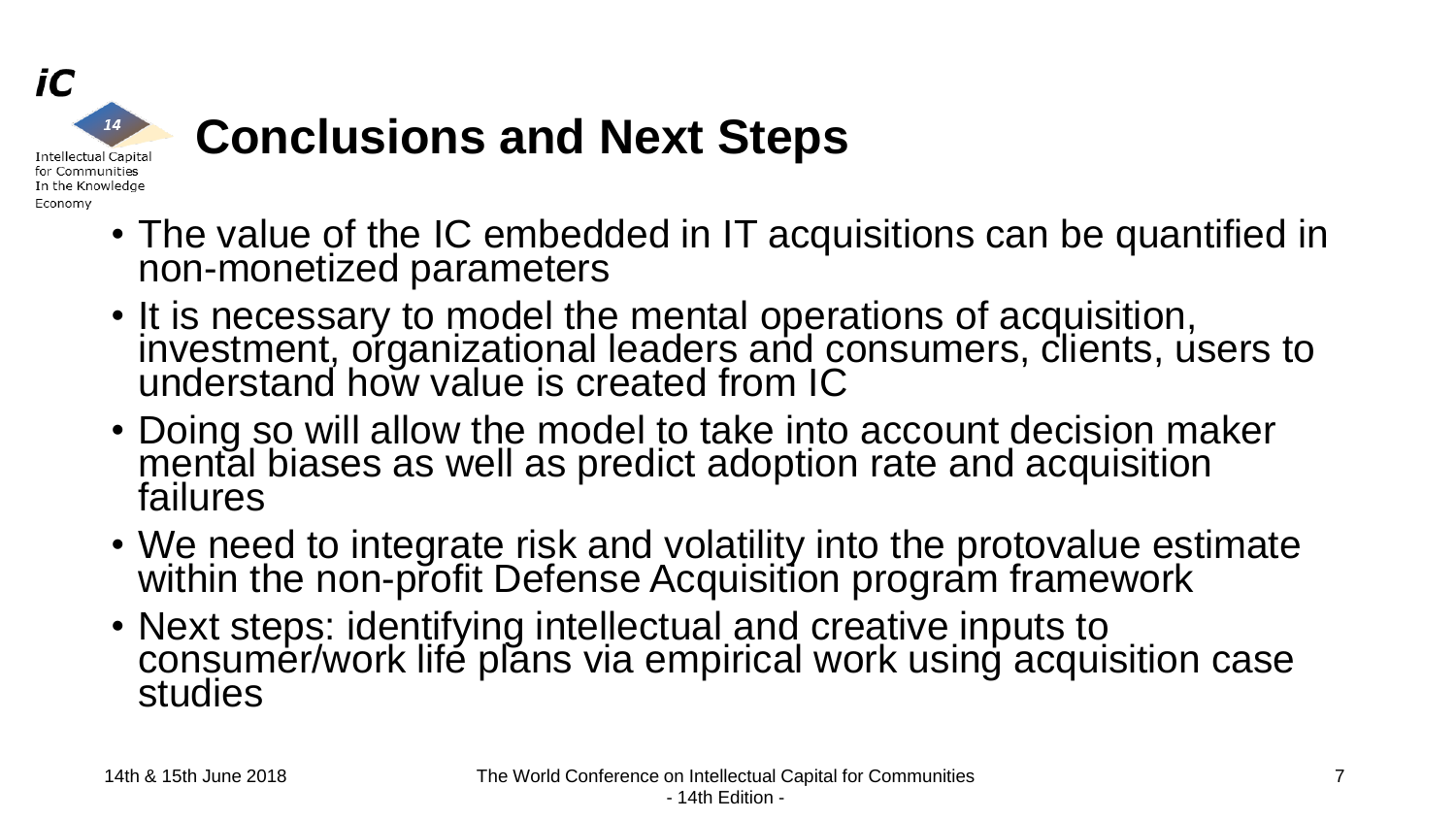

# **Conclusions and Next Steps**

- The value of the IC embedded in IT acquisitions can be quantified in non-monetized parameters
- It is necessary to model the mental operations of acquisition, investment, organizational leaders and consumers, clients, users to understand how value is created from IC
- Doing so will allow the model to take into account decision maker mental biases as well as predict adoption rate and acquisition failures
- We need to integrate risk and volatility into the protovalue estimate within the non-profit Defense Acquisition program framework
- Next steps: identifying intellectual and creative inputs to consumer/work life plans via empirical work using acquisition case studies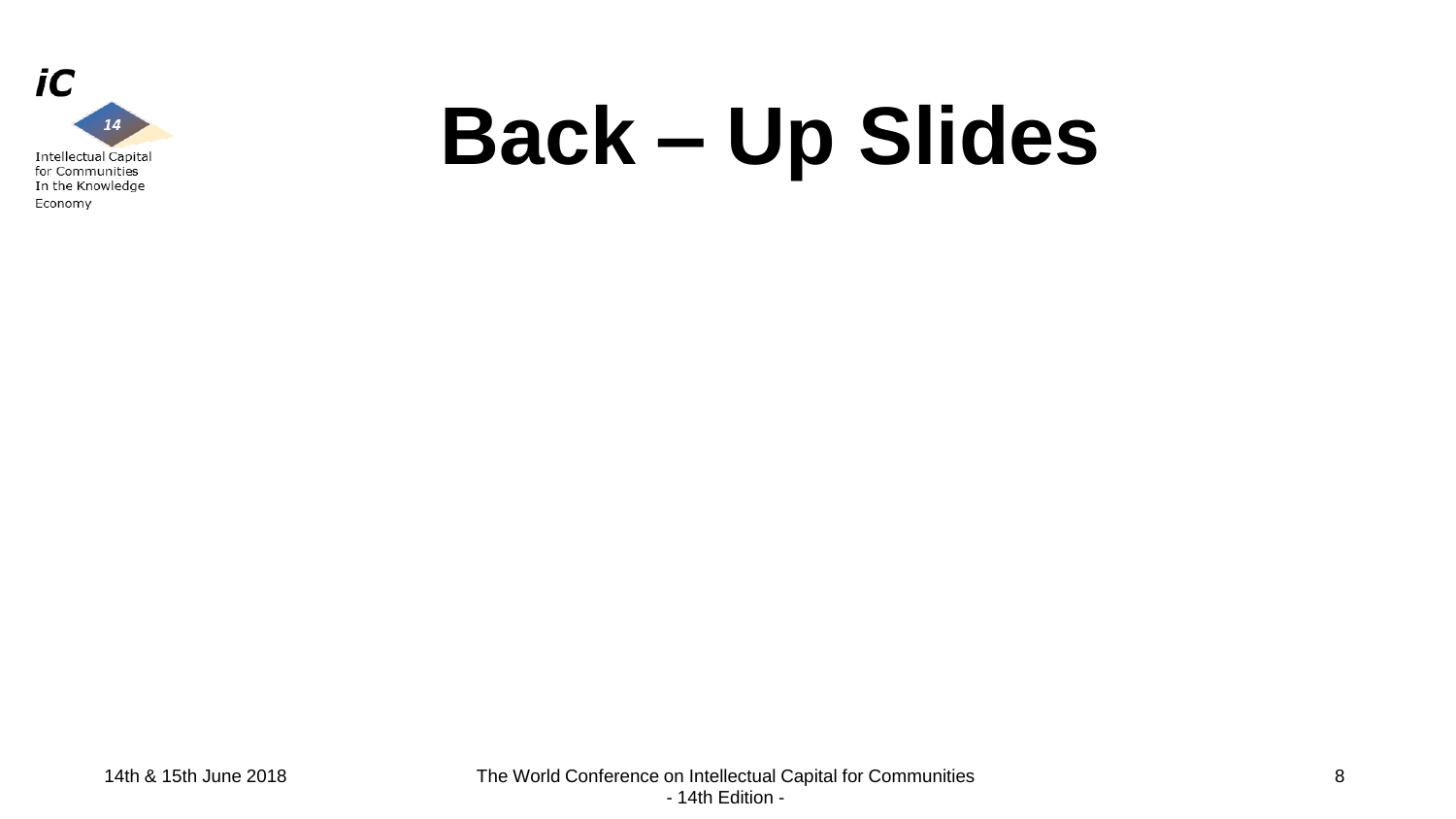

# **Back – Up Slides**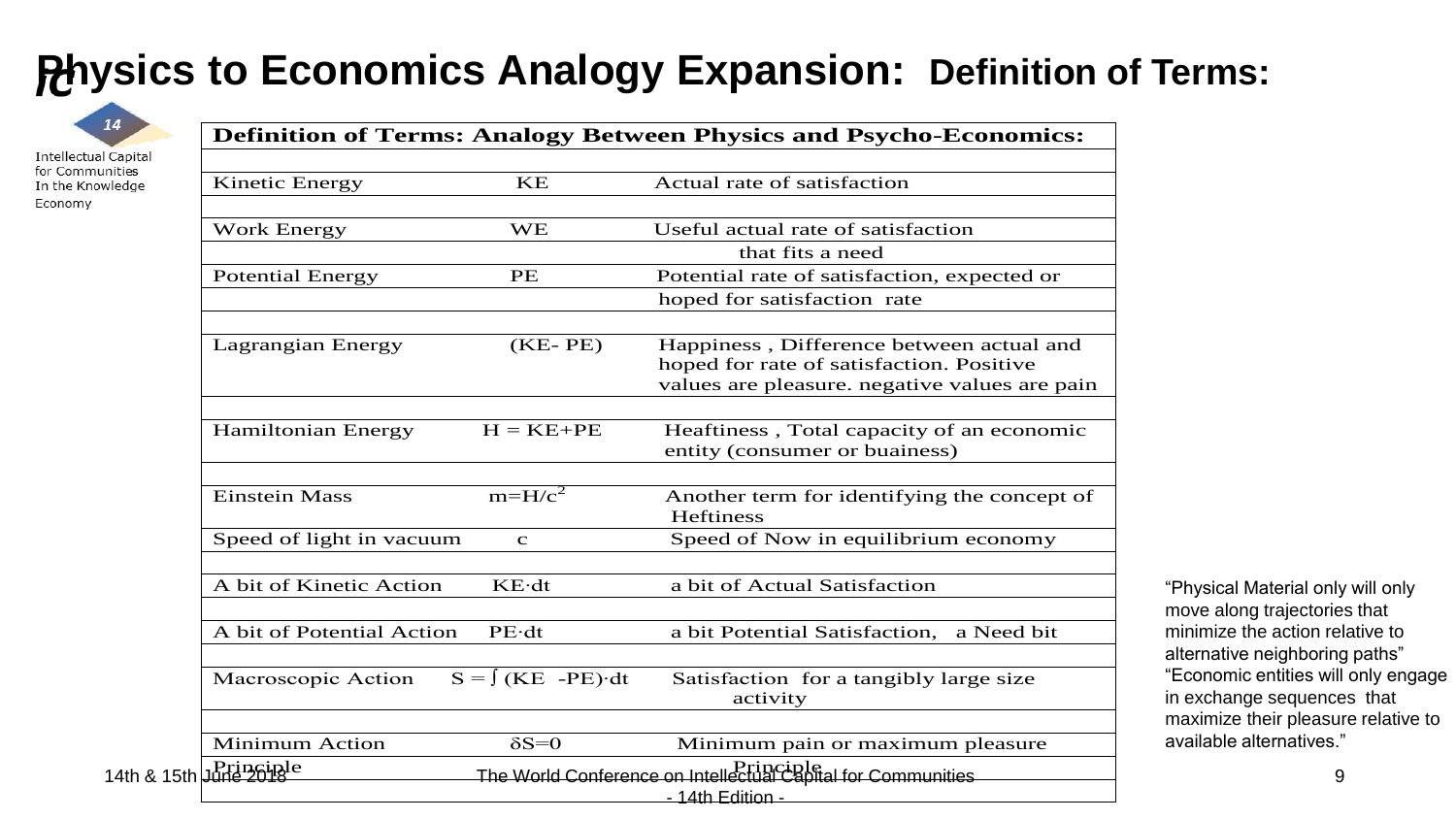### **Physics to Economics Analogy Expansion: Definition of Terms:**

**Definition of Terms: Analogy Between Physics and Psycho-Economics:**

14 **Intellectual Capital** for Communities In the Knowledge

Economy

| <b>Kinetic Energy</b>     | KE                            | Actual rate of satisfaction                            |
|---------------------------|-------------------------------|--------------------------------------------------------|
|                           |                               |                                                        |
| <b>Work Energy</b>        | <b>WE</b>                     | Useful actual rate of satisfaction<br>that fits a need |
| <b>Potential Energy</b>   | PE                            | Potential rate of satisfaction, expected or            |
|                           |                               | hoped for satisfaction rate                            |
|                           |                               |                                                        |
| Lagrangian Energy         | $(KE-PE)$                     | Happiness, Difference between actual and               |
|                           |                               | hoped for rate of satisfaction. Positive               |
|                           |                               | values are pleasure. negative values are pain          |
| Hamiltonian Energy        | $H = KE + PE$                 | Heaftiness, Total capacity of an economic              |
|                           |                               | entity (consumer or buainess)                          |
|                           |                               |                                                        |
| <b>Einstein Mass</b>      | $m=H/c^2$                     | Another term for identifying the concept of            |
|                           |                               | <b>Heftiness</b>                                       |
| Speed of light in vacuum  | $\mathbf{C}$                  | Speed of Now in equilibrium economy                    |
| A bit of Kinetic Action   | $KE \cdot dt$                 | a bit of Actual Satisfaction                           |
|                           |                               |                                                        |
| A bit of Potential Action | $PE \cdot dt$                 | a bit Potential Satisfaction,<br>a Need bit            |
| Macroscopic Action        | $S = \int (KE - PE) \cdot dt$ | Satisfaction for a tangibly large size                 |
|                           |                               | activity                                               |
| <b>Minimum Action</b>     | $\delta S = 0$                | Minimum pain or maximum pleasure                       |
|                           |                               |                                                        |

- 14th Edition -

"Physical Material only will only move along trajectories that minimize the action relative to alternative neighboring paths" "Economic entities will only engage in exchange sequences that maximize their pleasure relative to available alternatives."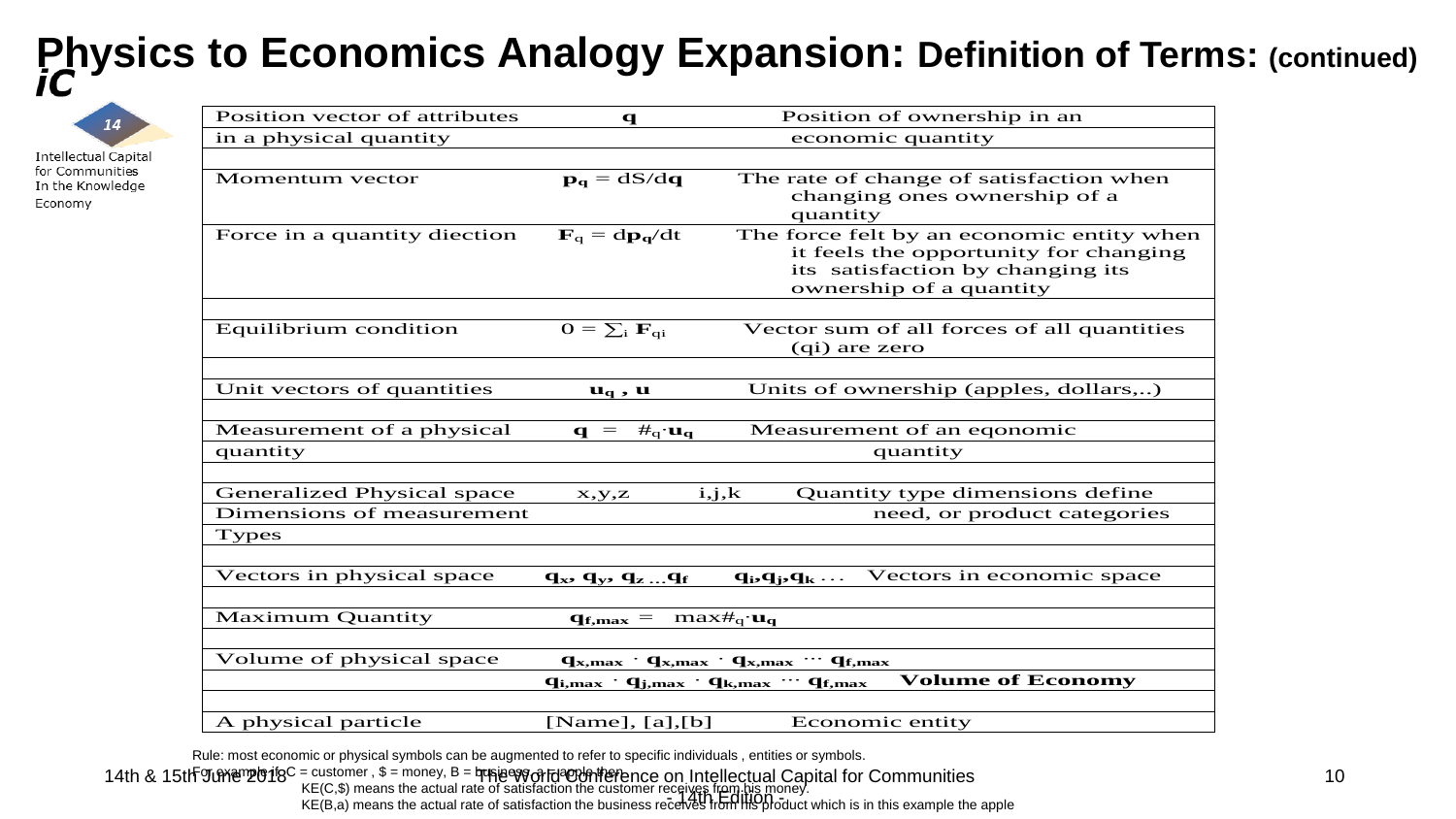# **Physics to Economics Analogy Expansion: Definition of Terms: (continued)**



**Intellectual Capital** for Communities In the Knowledge Economy

| Position vector of attributes                                                                                                | $\mathbf q$                                             | Position of ownership in an                                                                                                                       |
|------------------------------------------------------------------------------------------------------------------------------|---------------------------------------------------------|---------------------------------------------------------------------------------------------------------------------------------------------------|
| in a physical quantity                                                                                                       |                                                         | economic quantity                                                                                                                                 |
|                                                                                                                              |                                                         |                                                                                                                                                   |
| Momentum vector                                                                                                              | $\mathbf{p}_{q} = dS/dq$                                | The rate of change of satisfaction when<br>changing ones ownership of a<br>quantity                                                               |
| Force in a quantity diection                                                                                                 | $\mathbf{F}_q = \mathrm{d} \mathbf{p}_q / \mathrm{d} t$ | The force felt by an economic entity when<br>it feels the opportunity for changing<br>its satisfaction by changing its<br>ownership of a quantity |
|                                                                                                                              |                                                         |                                                                                                                                                   |
| Equilibrium condition                                                                                                        | $O = \sum_i \mathbf{F}_{qi}$                            | Vector sum of all forces of all quantities<br>(qi) are zero                                                                                       |
|                                                                                                                              |                                                         |                                                                                                                                                   |
| Unit vectors of quantities                                                                                                   | $\mathbf{u}_{\mathbf{q}}$ , $\mathbf{u}$                | Units of ownership (apples, dollars,)                                                                                                             |
|                                                                                                                              |                                                         |                                                                                                                                                   |
| Measurement of a physical                                                                                                    | $\mathbf{q} = #_{q} \cdot \mathbf{u}_{q}$               | Measurement of an eqonomic                                                                                                                        |
| quantity                                                                                                                     |                                                         | quantity                                                                                                                                          |
|                                                                                                                              |                                                         |                                                                                                                                                   |
| Generalized Physical space                                                                                                   | $_{\rm x,y,z}$                                          | Quantity type dimensions define<br>i,j,k                                                                                                          |
| Dimensions of measurement                                                                                                    |                                                         | need, or product categories                                                                                                                       |
| <b>Types</b>                                                                                                                 |                                                         |                                                                                                                                                   |
|                                                                                                                              |                                                         |                                                                                                                                                   |
| Vectors in physical space                                                                                                    | $q_x$ , $q_y$ , $q_z$ $q_f$                             | Vectors in economic space<br>$q_i, q_j, q_k$                                                                                                      |
|                                                                                                                              |                                                         |                                                                                                                                                   |
| <b>Maximum Quantity</b><br>$\mathbf{q}_{\mathbf{f},\mathbf{max}} = \max_{\mathbf{f} \in \mathbf{q}} \mathbf{u}_{\mathbf{q}}$ |                                                         |                                                                                                                                                   |
|                                                                                                                              |                                                         |                                                                                                                                                   |
| Volume of physical space<br>$q_{x,max}$ · $q_{x,max}$ · $q_{x,max}$ · · $q_{f,max}$                                          |                                                         |                                                                                                                                                   |
| <b>Volume of Economy</b><br>$q_{i,max}$ · $q_{j,max}$ · $q_{k,max}$ · · $q_{f,max}$                                          |                                                         |                                                                                                                                                   |
|                                                                                                                              |                                                         |                                                                                                                                                   |
| A physical particle                                                                                                          | [Name], $[a]$ , $[b]$                                   | Economic entity                                                                                                                                   |

Rule: most economic or physical symbols can be augmented to refer to specific individuals , entities or symbols.

14th & 15th June 2018 The Constant Contemporary B =  $\nabla$  The World Conference on Intellectual Capital for Communities  $\sim$  14th Edition - $\mathsf F$ or example if  ${\sf qC}$  = customer,  $\$$  = money,  $\mathsf B$  = business,  $\alpha$  = apple then KE(C,\$) means the actual rate of satisfaction the customer receives from his money.  $KE(B,a)$  means the actual rate of satisfaction the business receives from his product which is in this example the apple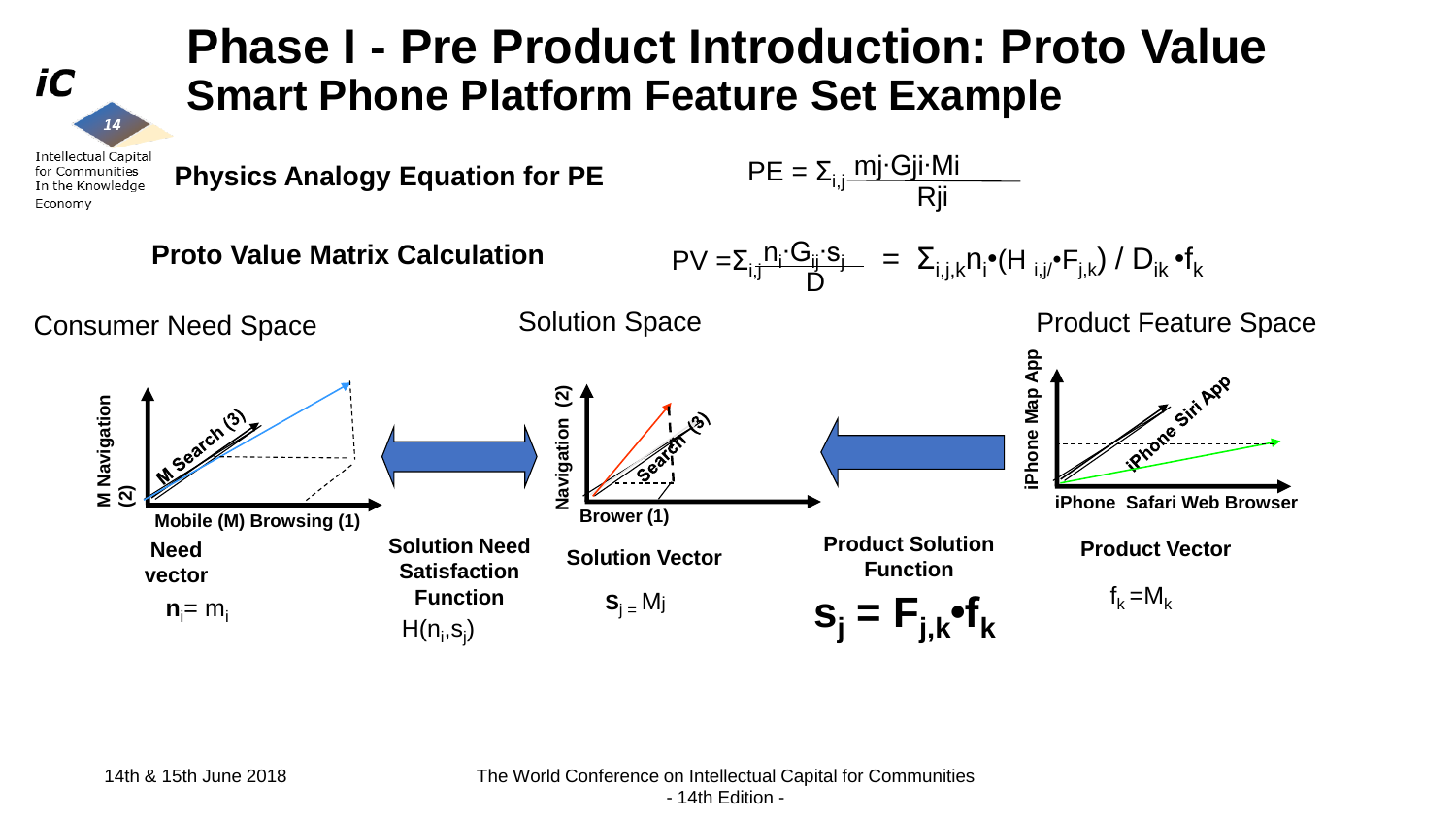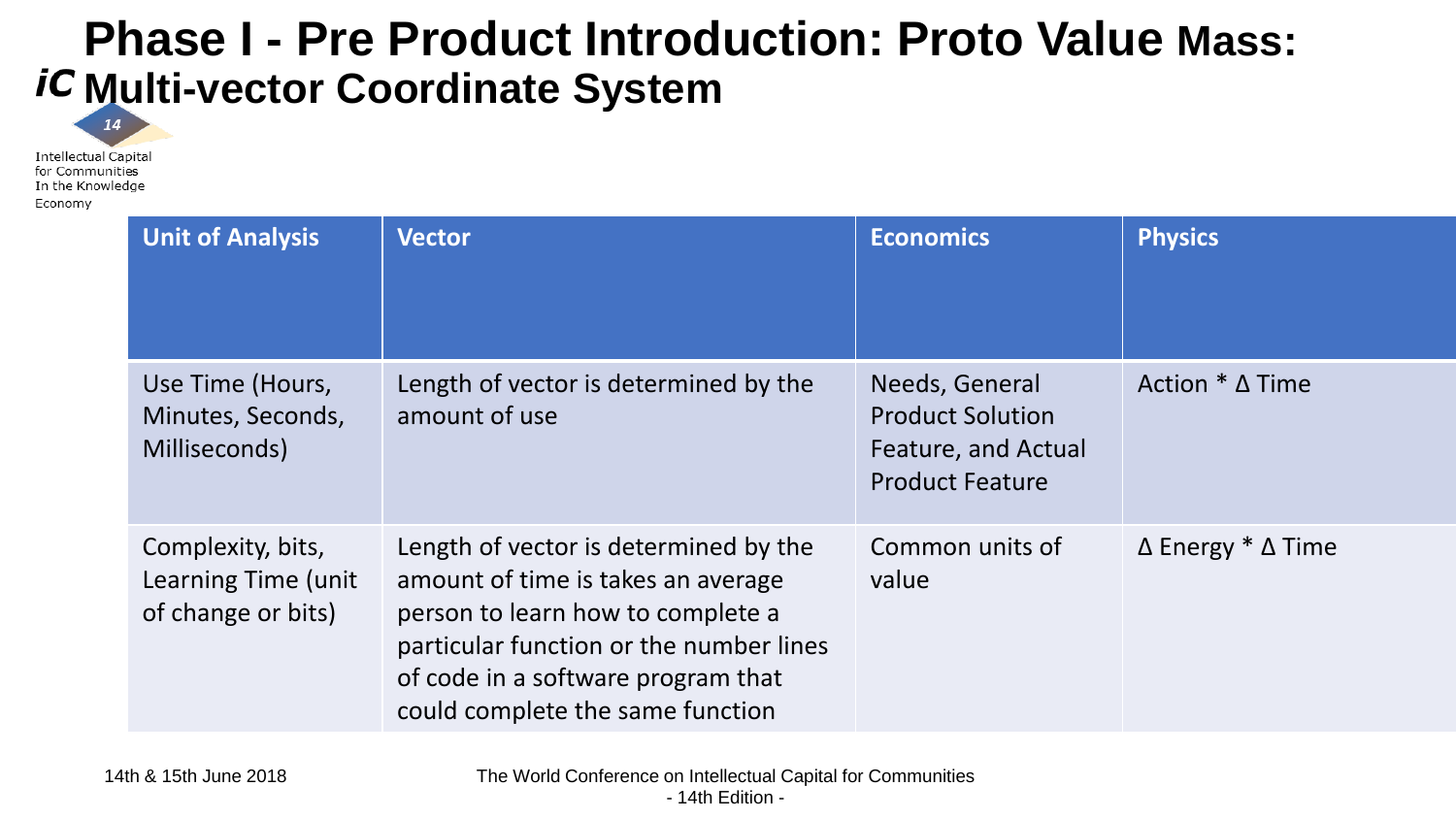### **Phase I - Pre Product Introduction: Proto Value Mass:**  *iC* **Multi-vector Coordinate System**

**Intellectual Capital** for Communities In the Knowledge Economy

14

| <b>Unit of Analysis</b>                                        | <b>Vector</b>                                                                                                                                                                                                                         | <b>Economics</b>                                                                           | <b>Physics</b>                    |
|----------------------------------------------------------------|---------------------------------------------------------------------------------------------------------------------------------------------------------------------------------------------------------------------------------------|--------------------------------------------------------------------------------------------|-----------------------------------|
| Use Time (Hours,<br>Minutes, Seconds,<br>Milliseconds)         | Length of vector is determined by the<br>amount of use                                                                                                                                                                                | Needs, General<br><b>Product Solution</b><br>Feature, and Actual<br><b>Product Feature</b> | Action $*$ $\Delta$ Time          |
| Complexity, bits,<br>Learning Time (unit<br>of change or bits) | Length of vector is determined by the<br>amount of time is takes an average<br>person to learn how to complete a<br>particular function or the number lines<br>of code in a software program that<br>could complete the same function | Common units of<br>value                                                                   | $\Delta$ Energy $*$ $\Delta$ Time |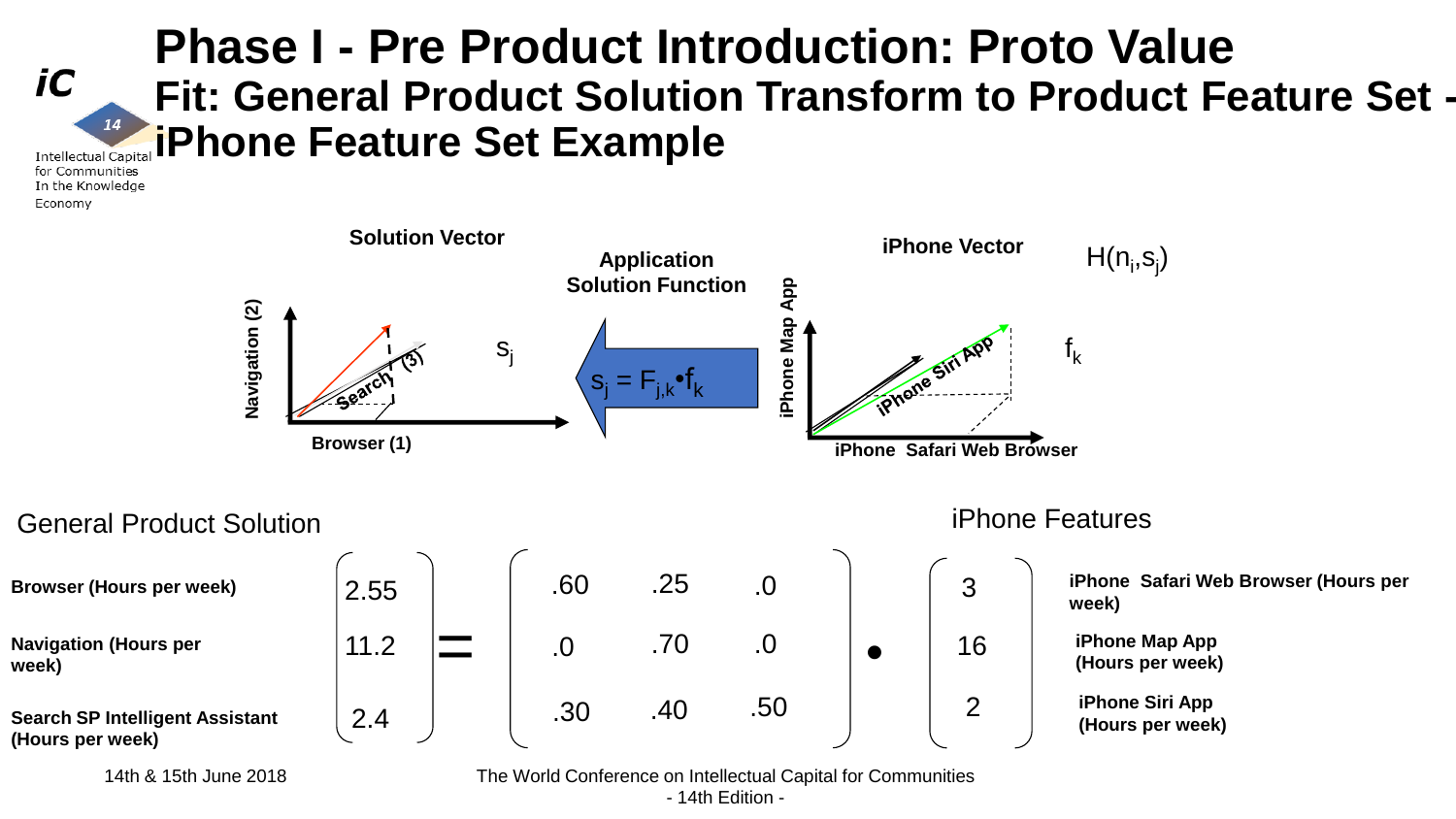### **Phase I - Pre Product Introduction: Proto Value Fit: General Product Solution Transform to Product Feature Set iPhone Feature Set Example**

**Intellectual Capit** for Communities In the Knowledge Economy

14

iC



**(Hours per week)**

**Search SP Intelligent Assistant (Hours per week)**

**week)**

2.4

14th & 15th June 2018 The World Conference on Intellectual Capital for Communities - 14th Edition -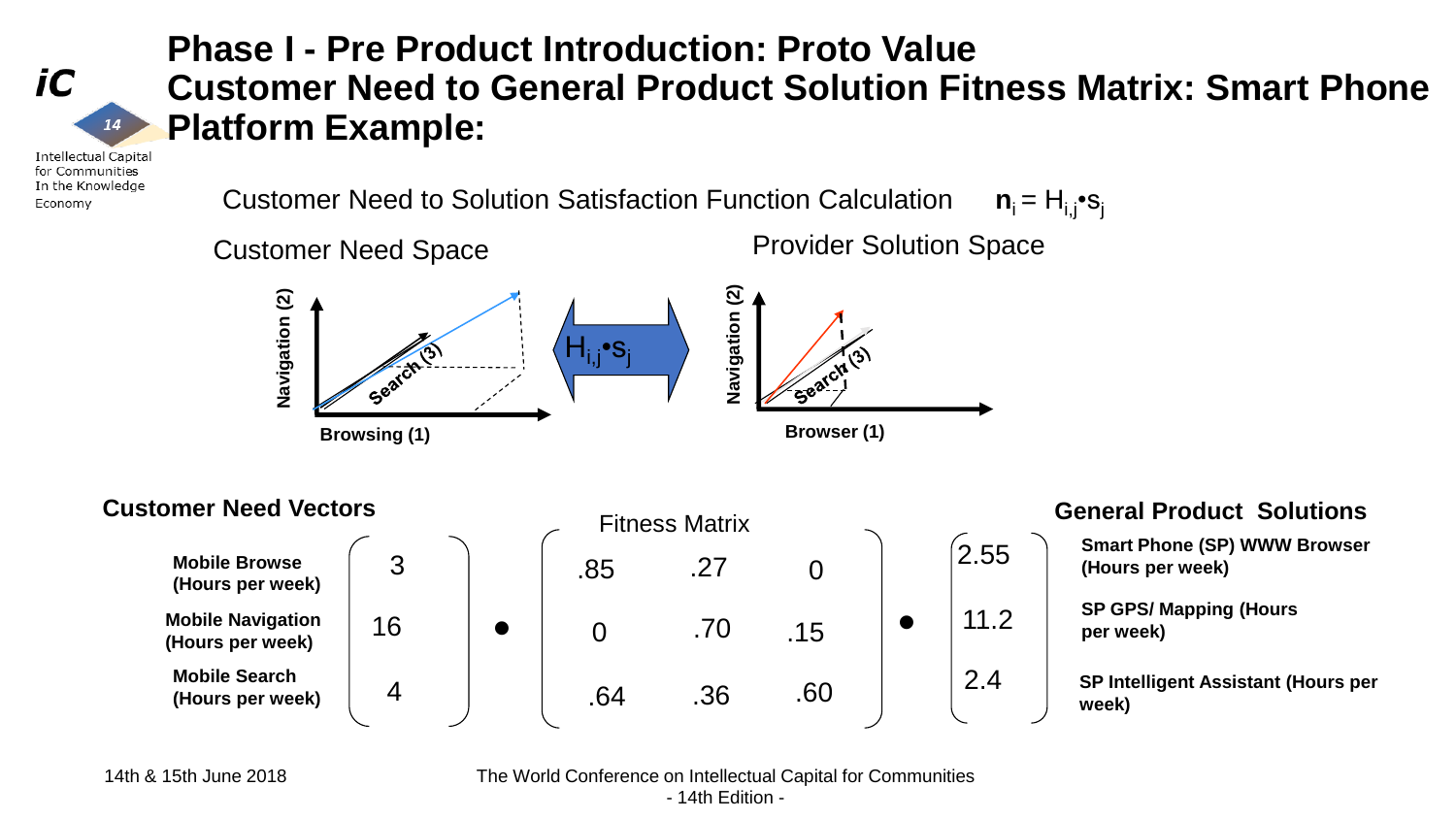iC

### **Phase I - Pre Product Introduction: Proto Value Customer Need to General Product Solution Fitness Matrix: Smart Phone Platform Example:**

**Intellectual Capital** for Communities In the Knowledge Economy

 $14$ 

Customer Need to Solution Satisfaction Function Calculation  $n_i = H_{i,i} \cdot S_i$ Customer Need Space **Provider Solution Space Navigation (2)** Navigation (2) Navigation (2) **Navigation (2)** Hi,j•s<sup>j</sup> **Browser (1) Browsing (1) Customer Need Vectors**<br> **General Product Solutions**  $2.55$ **Mobile Browse**  3 .85 .27 0 **(Hours per week)** 11.2 **Mobile Navigation**  • 16 .70  $\Omega$ .15 •**(Hours per week)**

.64

4

**Smart Phone (SP) WWW Browser (Hours per week)**

**SP GPS/ Mapping (Hours per week)**

**SP Intelligent Assistant (Hours per week)**

**Mobile Search (Hours per week)**

14th & 15th June 2018 The World Conference on Intellectual Capital for Communities - 14th Edition -

.36

.60

2.4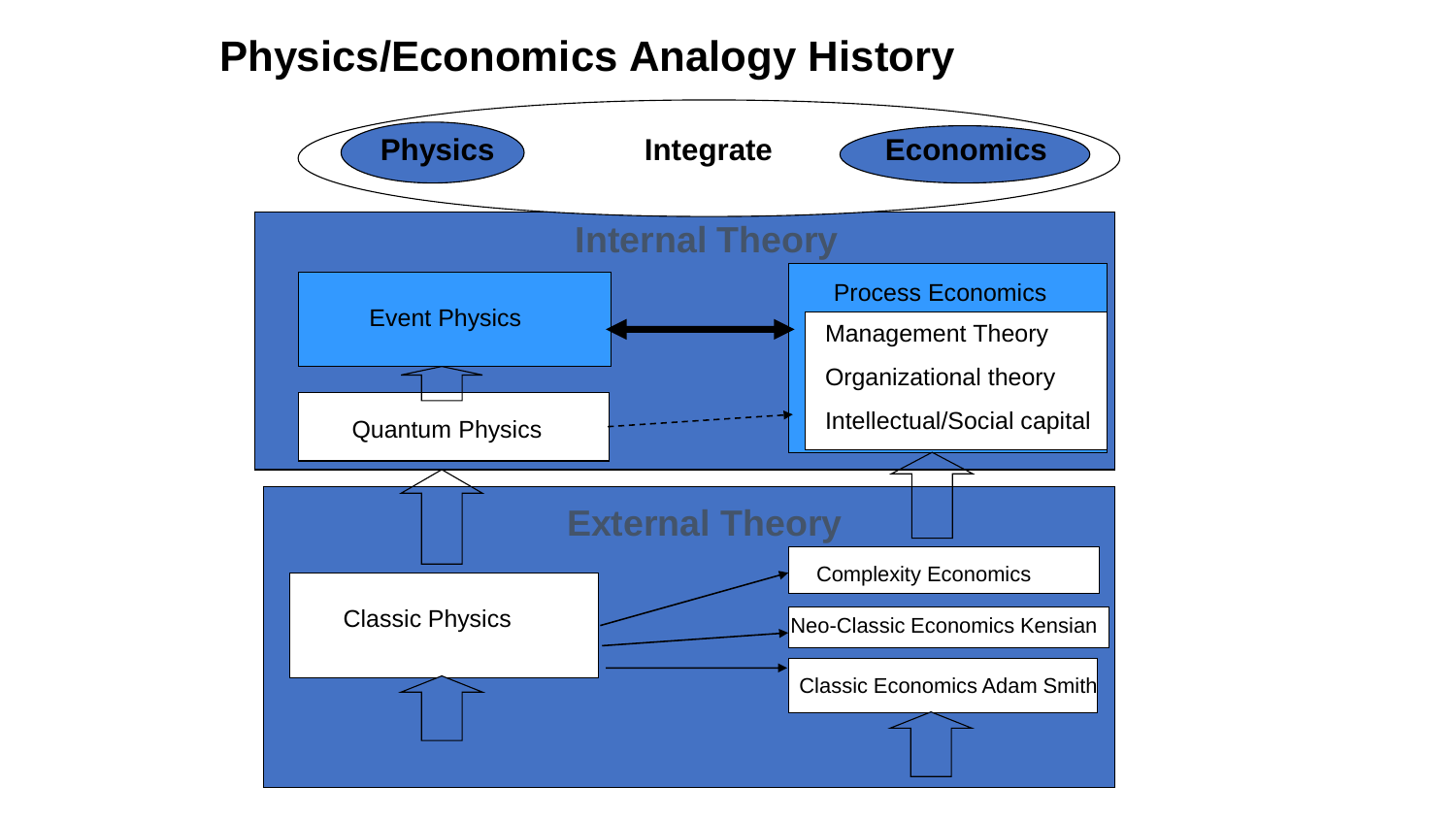### **Physics/Economics Analogy History**

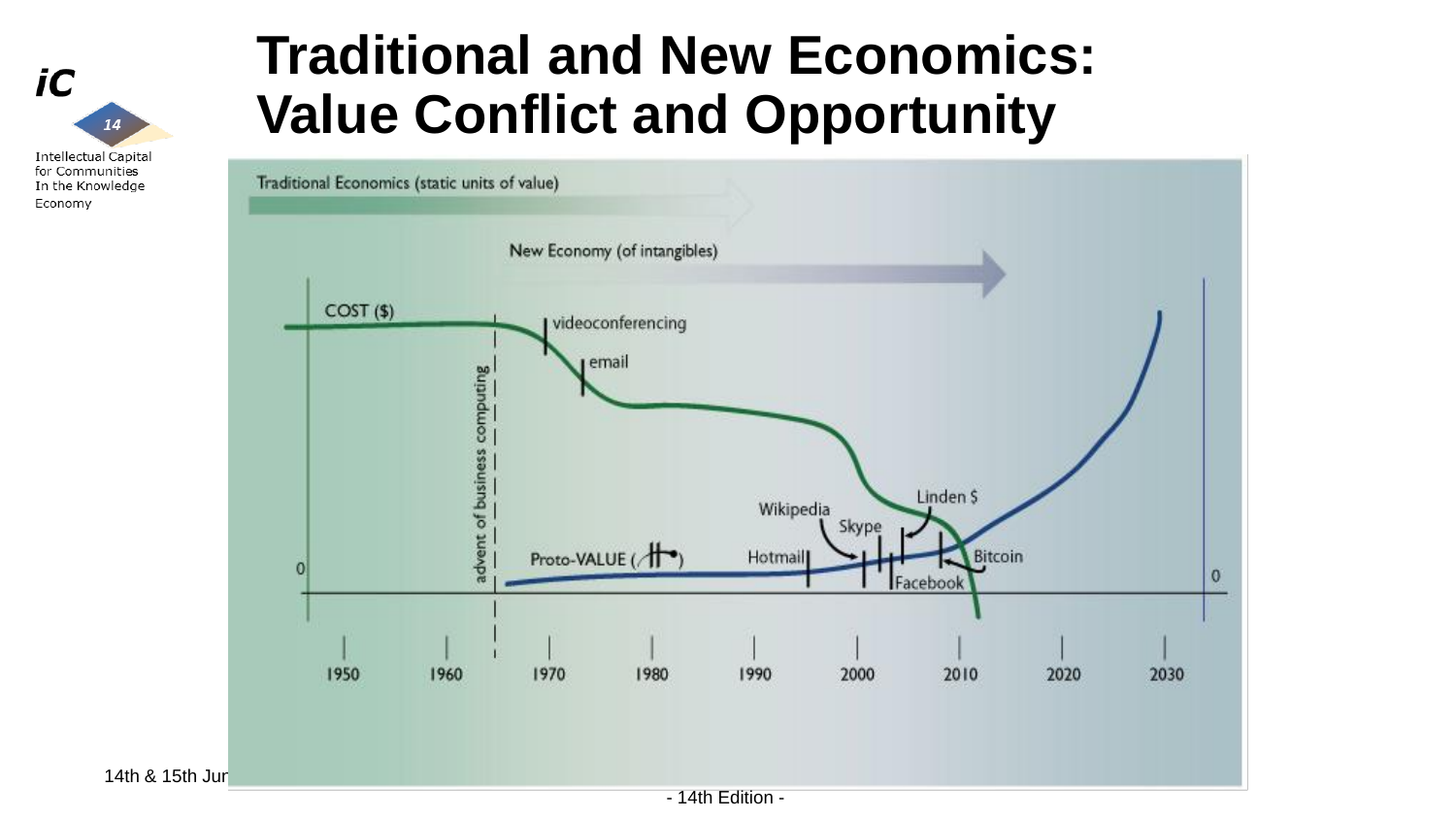

# **Traditional and New Economics: Value Conflict and Opportunity**

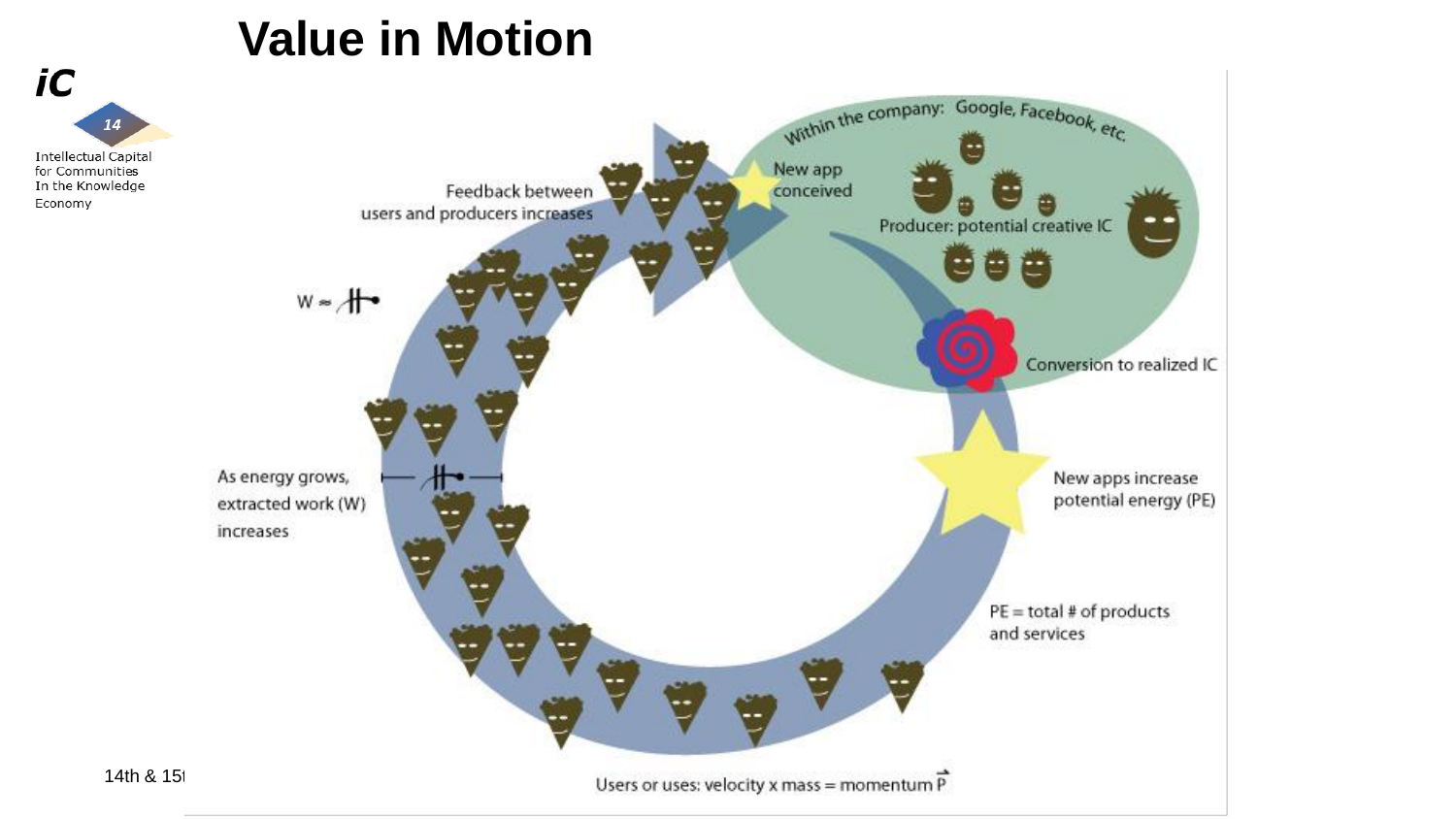### **Value in Motion**

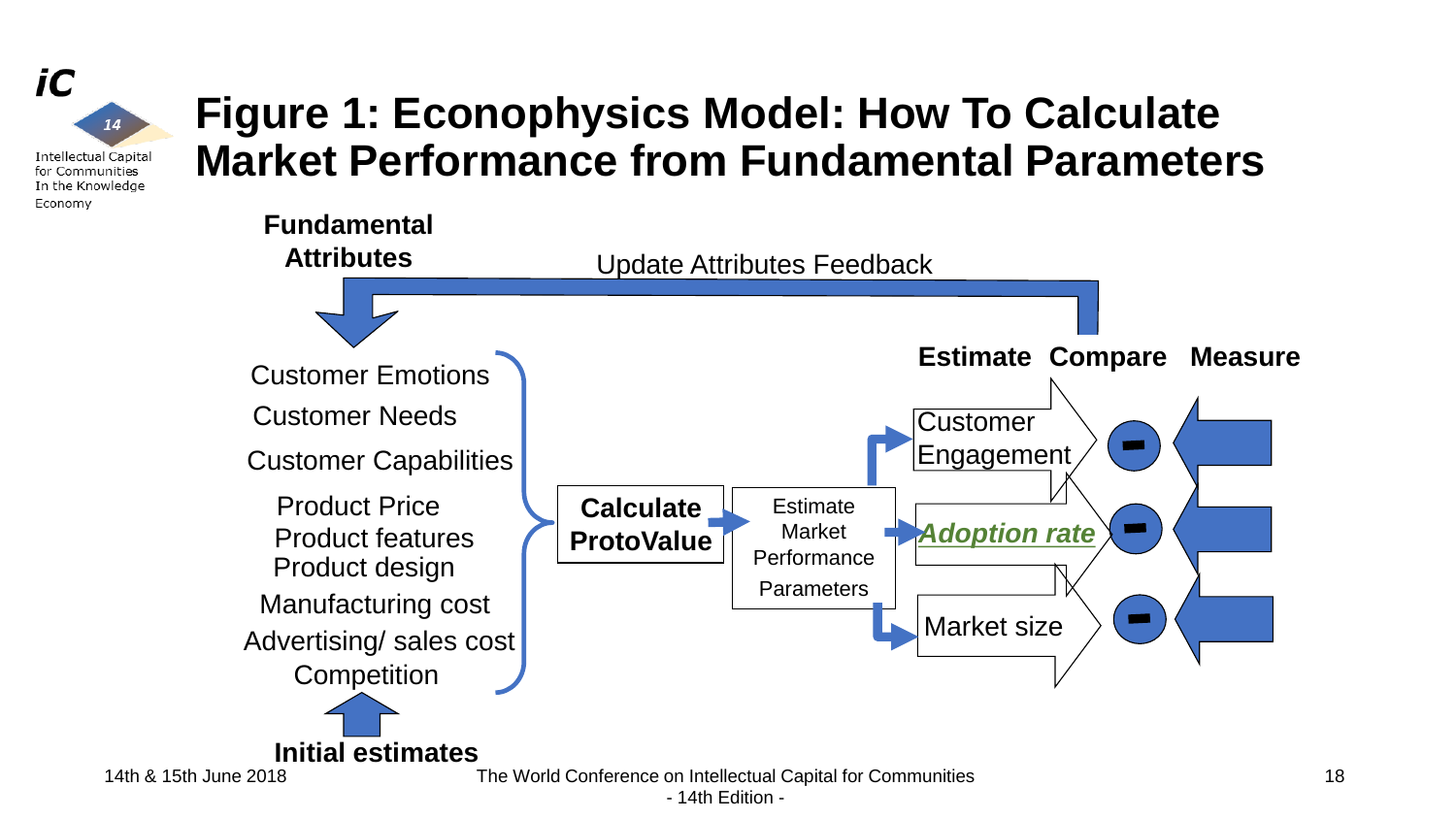

### **Figure 1: Econophysics Model: How To Calculate Market Performance from Fundamental Parameters**



- 14th Edition -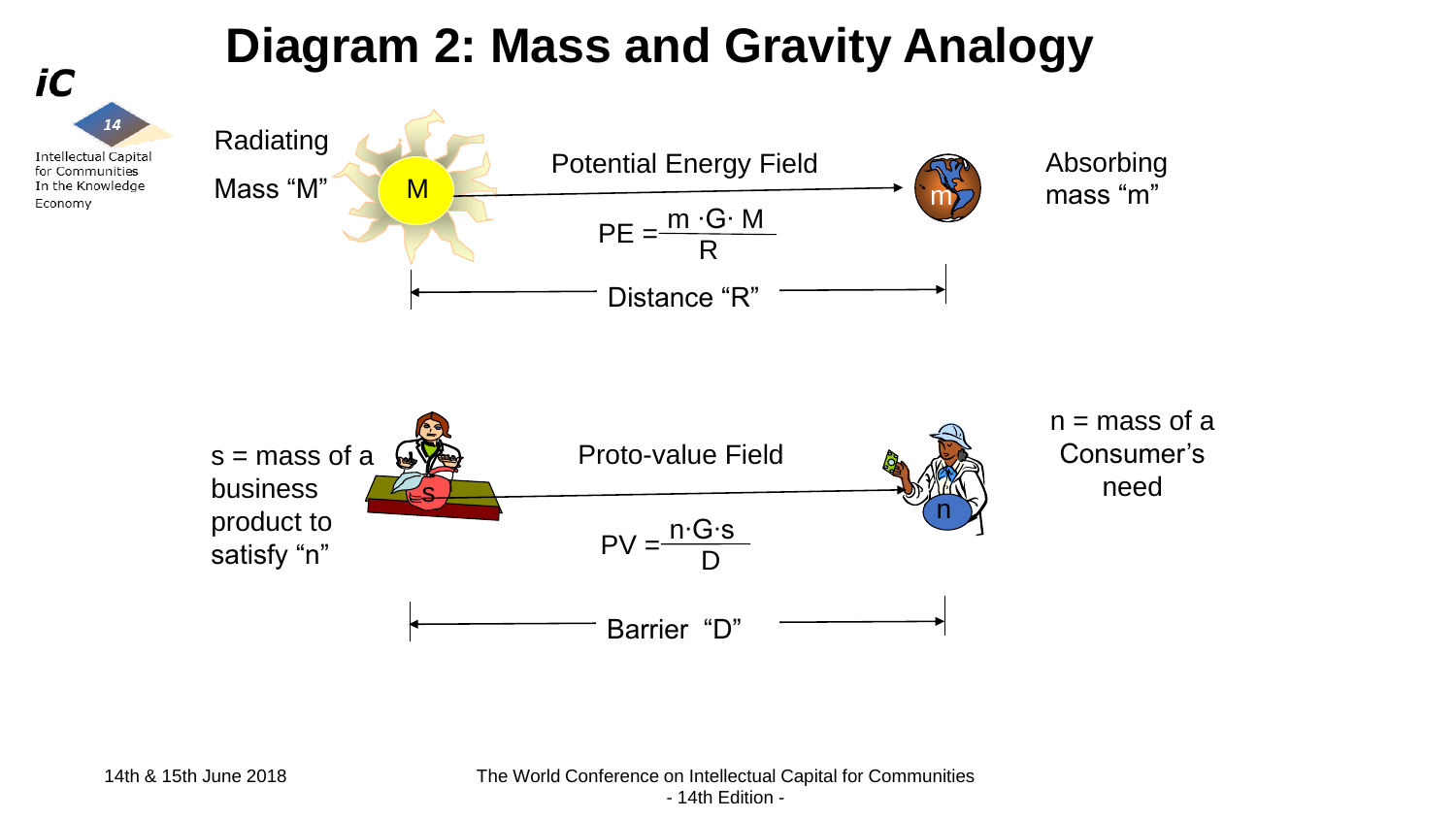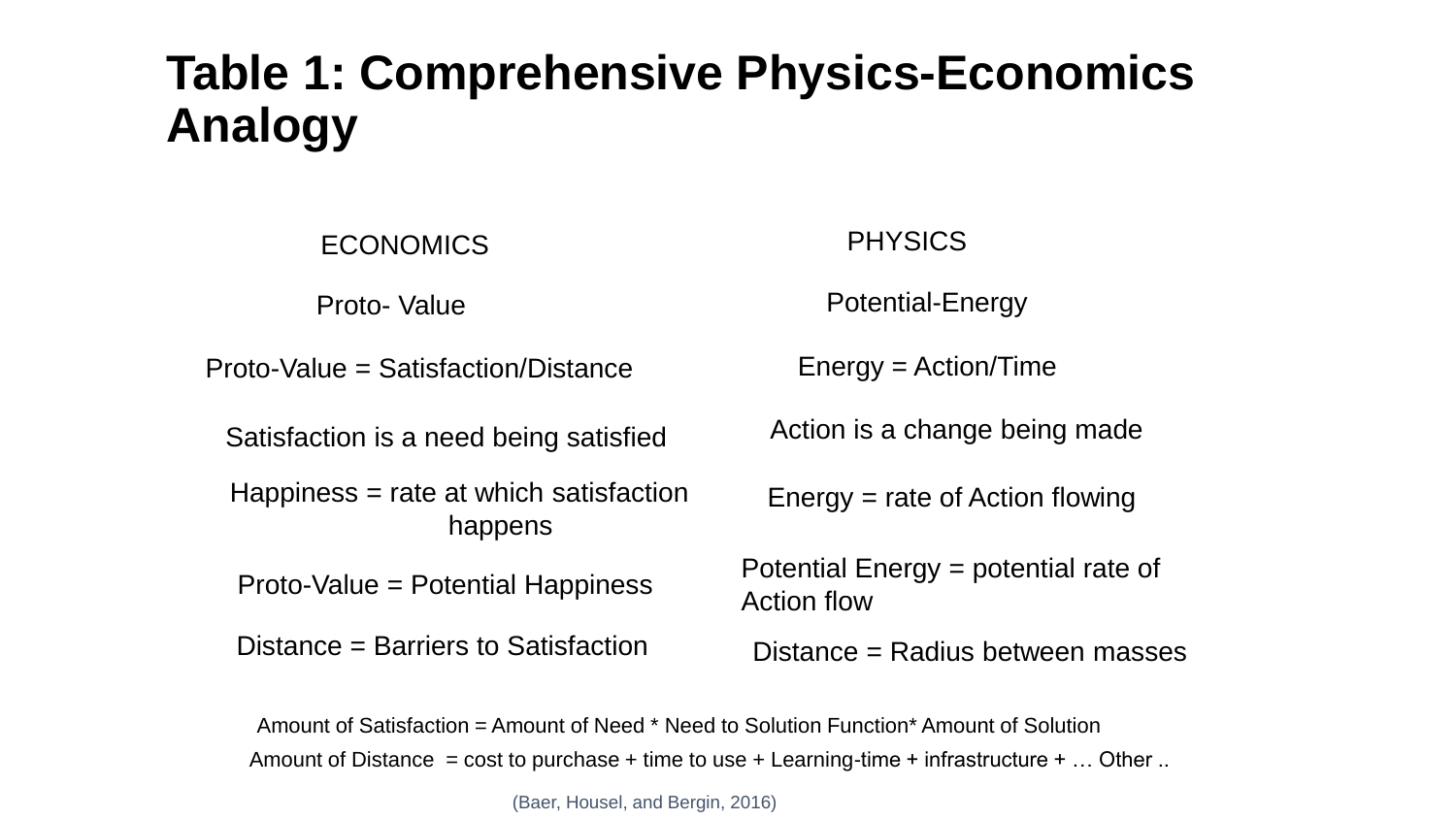### **Table 1: Comprehensive Physics-Economics Analogy**

ECONOMICS PHYSICS

Proto-Value = Satisfaction/Distance Energy = Action/Time

Satisfaction is a need being satisfied

Happiness = rate at which satisfaction happens

Distance = Barriers to Satisfaction  $Distance = Radius$  between masses

Proto- Value **Proto-** Value **Proto-** Potential-Energy

Action is a change being made

Energy = rate of Action flowing

Proto-Value = Potential Happiness Potential Energy = potential rate of Action flow

Amount of Satisfaction = Amount of Need \* Need to Solution Function\* Amount of Solution Amount of Distance = cost to purchase + time to use + Learning-time + infrastructure +  $\dots$  Other  $\dots$ 

(Baer, Housel, and Bergin, 2016)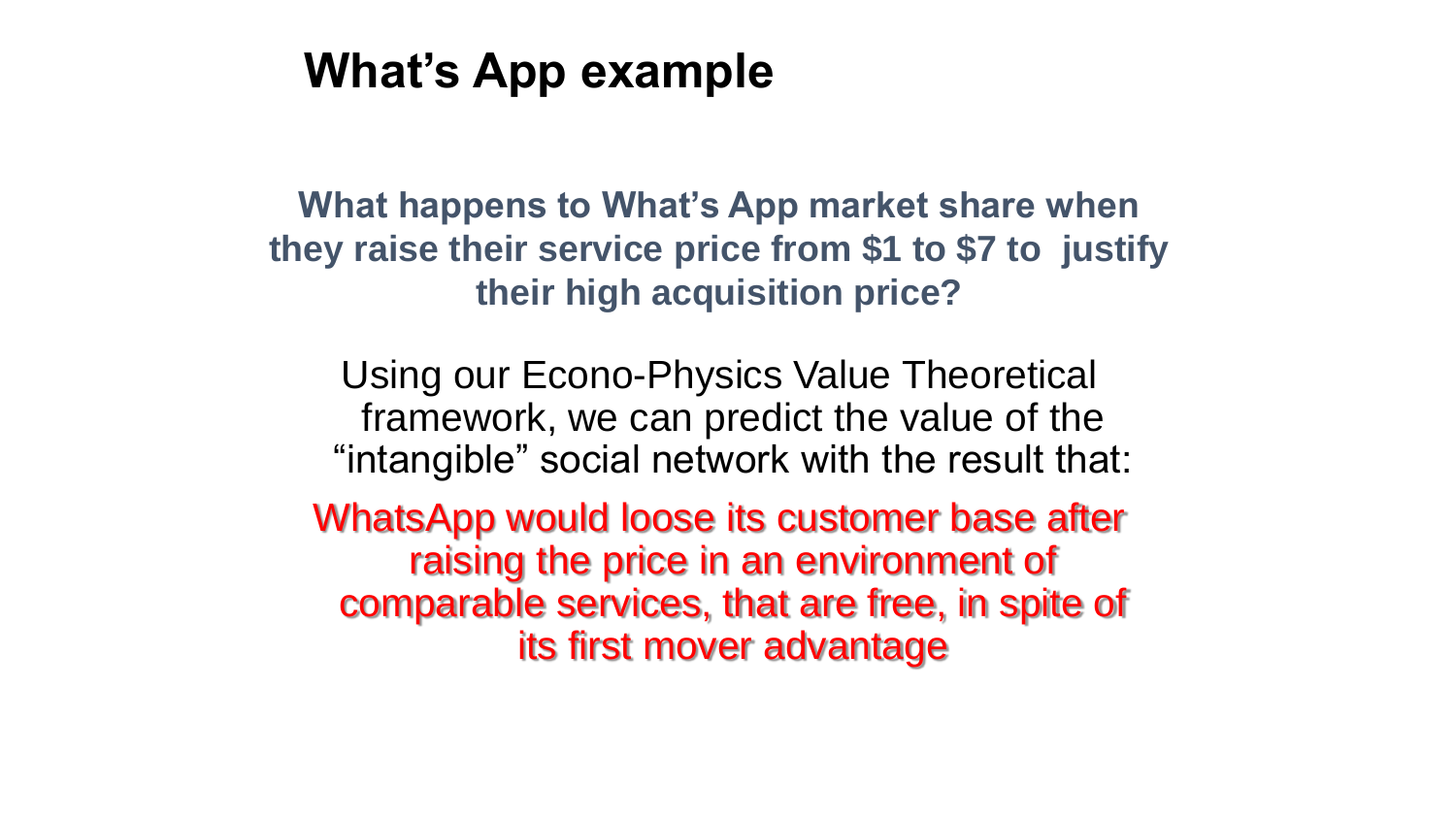### **What's App example**

**What happens to What's App market share when they raise their service price from \$1 to \$7 to justify their high acquisition price?**

Using our Econo-Physics Value Theoretical framework, we can predict the value of the "intangible" social network with the result that:

WhatsApp would loose its customer base after raising the price in an environment of comparable services, that are free, in spite of its first mover advantage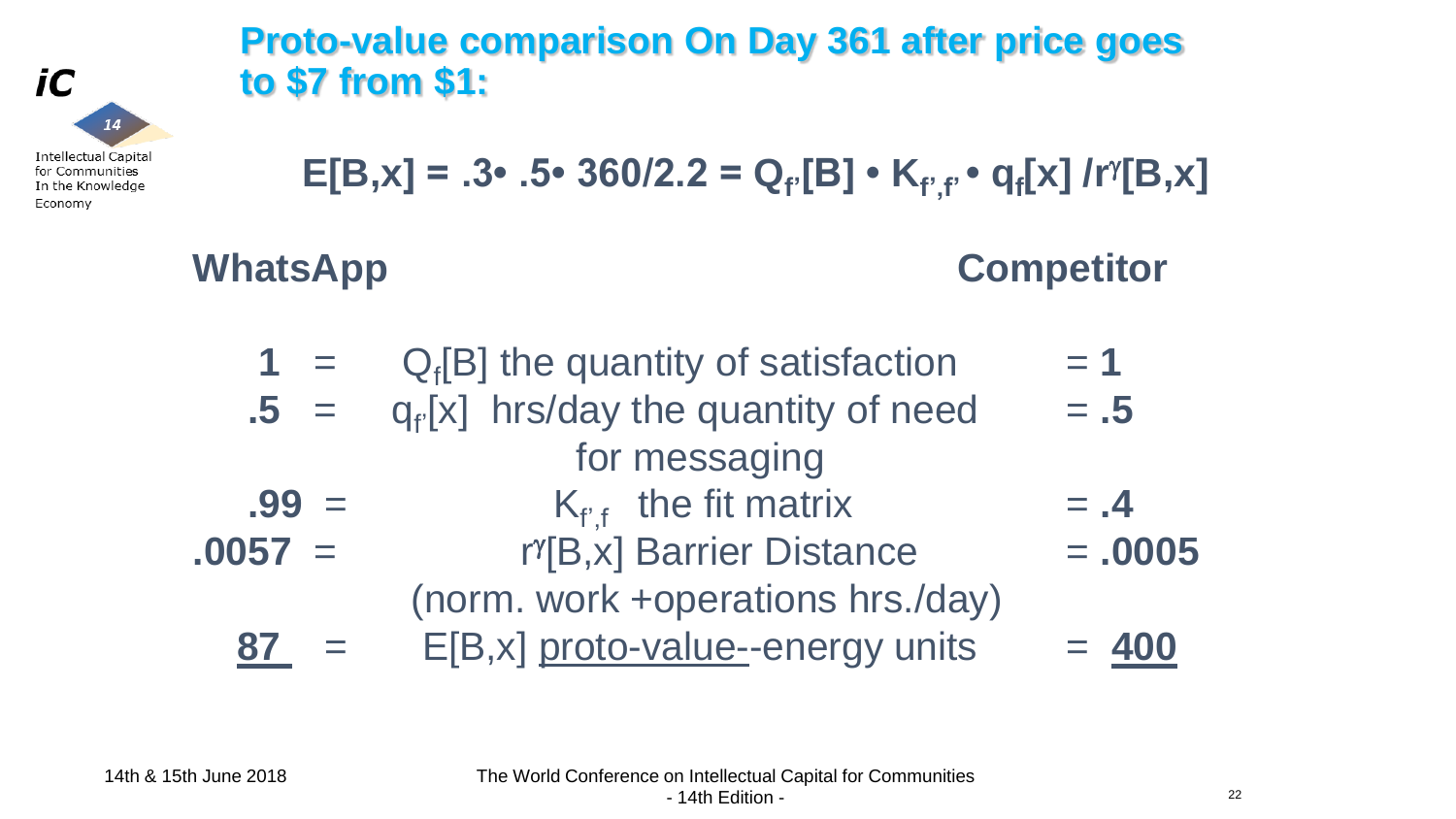### **Proto-value comparison On Day 361 after price goes to \$7 from \$1:**

$$
E[B,x] = .3 \cdot .5 \cdot 360/2.2 = Q_{f'}[B] \cdot K_{f',f'} \cdot q_{f}[x] / r^{\gamma}[B,x]
$$

**WhatsApp Competitor**

| $1 =$     | $Q_f[B]$ the quantity of satisfaction | $= 1$     |
|-----------|---------------------------------------|-----------|
| $.5 =$    | $q_f[x]$ hrs/day the quantity of need | $=.5$     |
|           | for messaging                         |           |
| $.99 =$   | $K_{f,f}$ the fit matrix              | $= .4$    |
| $.0057 =$ | r <sup>y</sup> [B,x] Barrier Distance | $= .0005$ |
|           | (norm. work +operations hrs./day)     |           |
| 87        | E[B,x] proto-value-energy units       | $= 400$   |

22

iC  $14$ **Intellectual Capital** for Communities

In the Knowledge

Economy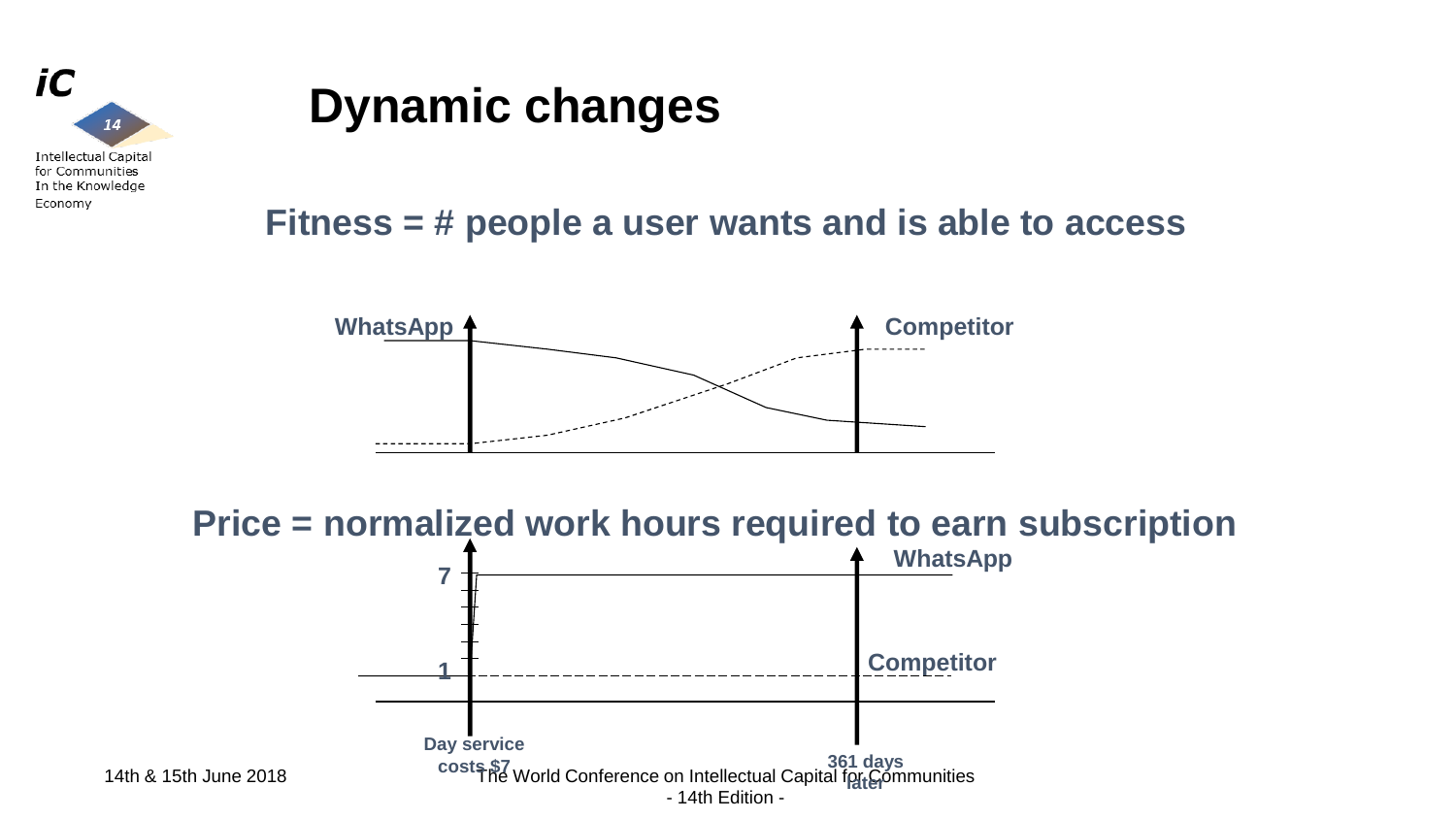

# **Dynamic changes**

### **Fitness = # people a user wants and is able to access**



**Price = normalized work hours required to earn subscription** 

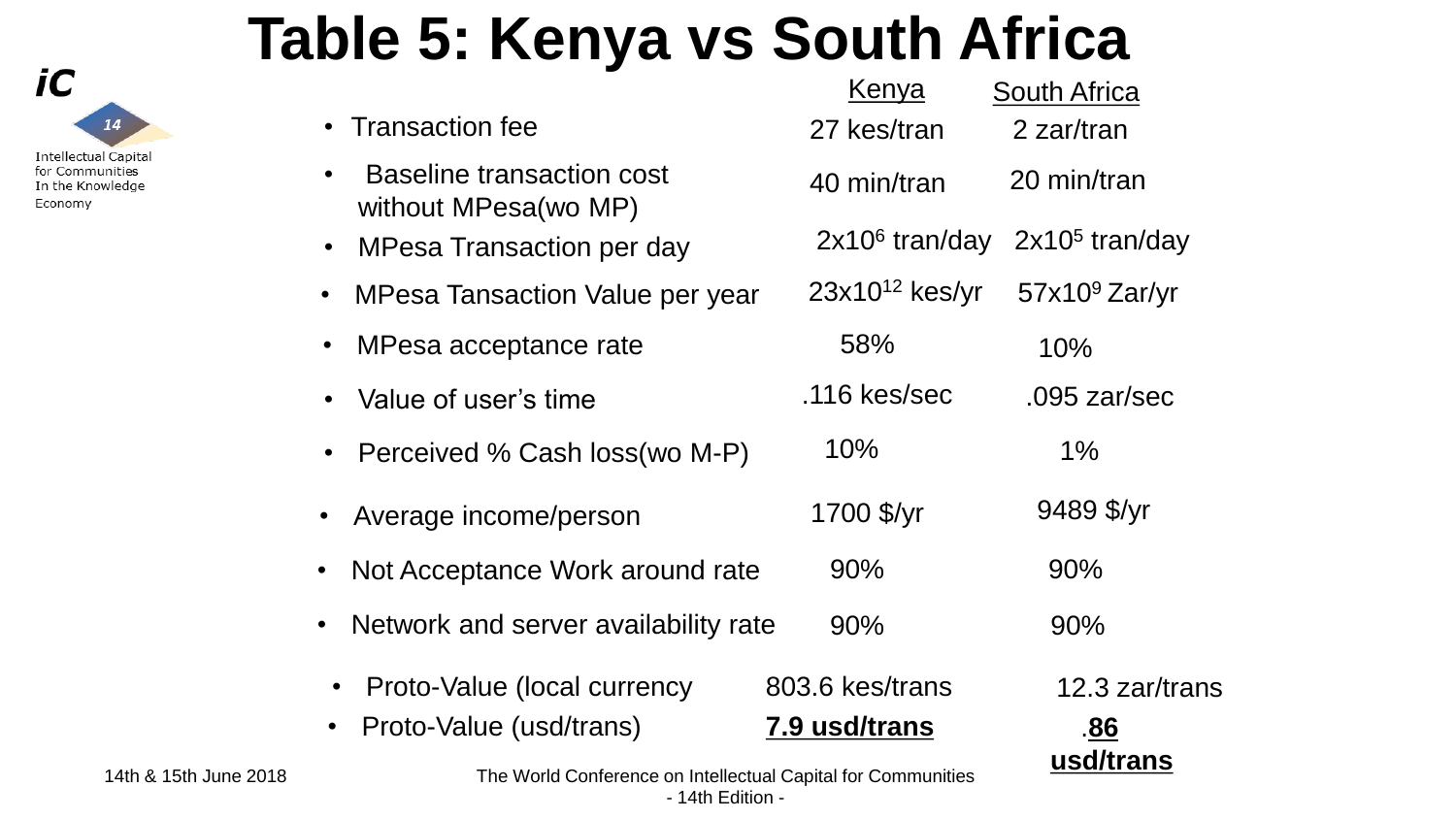

|  |  |  | <b>Table 5: Kenya vs South Africa</b> |  |  |  |
|--|--|--|---------------------------------------|--|--|--|
|--|--|--|---------------------------------------|--|--|--|

|           |                                                                     | <u>Kenya</u>                     | <b>South Africa</b>   |
|-----------|---------------------------------------------------------------------|----------------------------------|-----------------------|
|           | • Transaction fee                                                   | 27 kes/tran                      | 2 zar/tran            |
| $\bullet$ | <b>Baseline transaction cost</b><br>without MPesa(wo MP)            | 40 min/tran                      | 20 min/tran           |
| $\bullet$ | <b>MPesa Transaction per day</b>                                    | $2x106$ tran/day                 | $2x105$ tran/day      |
| $\bullet$ | MPesa Tansaction Value per year                                     | $23x10^{12}$ kes/yr              | $57x109$ Zar/yr       |
| $\bullet$ | MPesa acceptance rate                                               | 58%                              | 10%                   |
|           | Value of user's time                                                | $.116$ kes/sec                   | .095 $z$ ar/sec       |
|           | • Perceived % Cash loss(wo M-P)                                     | 10%                              | 1%                    |
| $\bullet$ | Average income/person                                               | 1700 \$/yr                       | 9489 \$/yr            |
| $\bullet$ | Not Acceptance Work around rate                                     | 90%                              | 90%                   |
| $\bullet$ | Network and server availability rate                                | 90%                              | 90%                   |
|           | Proto-Value (local currency<br>Proto-Value (usd/trans)              | 803.6 kes/trans<br>7.9 usd/trans | 12.3 zar/trans<br>.86 |
|           | The <i>Merid Conference</i> on Intellectual Conital for Communities |                                  | usd/trans             |

14th & 15th June 2018 The World Conference on Intellectual Capital for Communities - 14th Edition -